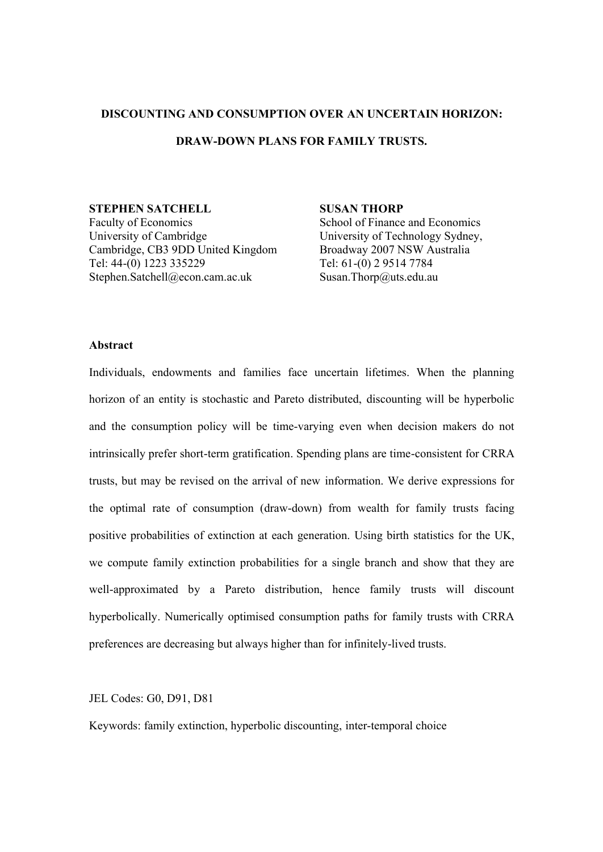### **DISCOUNTING AND CONSUMPTION OVER AN UNCERTAIN HORIZON:**

# **DRAW-DOWN PLANS FOR FAMILY TRUSTS.**

**STEPHEN SATCHELL** Faculty of Economics

University of Cambridge Cambridge, CB3 9DD United Kingdom Tel: 44-(0) 1223 335229 Stephen.Satchell@econ.cam.ac.uk

## **SUSAN THORP**

School of Finance and Economics University of Technology Sydney, Broadway 2007 NSW Australia Tel: 61-(0) 2 9514 7784 Susan.Thorp@uts.edu.au

## **Abstract**

Individuals, endowments and families face uncertain lifetimes. When the planning horizon of an entity is stochastic and Pareto distributed, discounting will be hyperbolic and the consumption policy will be time-varying even when decision makers do not intrinsically prefer short-term gratification. Spending plans are time-consistent for CRRA trusts, but may be revised on the arrival of new information. We derive expressions for the optimal rate of consumption (draw-down) from wealth for family trusts facing positive probabilities of extinction at each generation. Using birth statistics for the UK, we compute family extinction probabilities for a single branch and show that they are well-approximated by a Pareto distribution, hence family trusts will discount hyperbolically. Numerically optimised consumption paths for family trusts with CRRA preferences are decreasing but always higher than for infinitely-lived trusts.

### JEL Codes: G0, D91, D81

Keywords: family extinction, hyperbolic discounting, inter-temporal choice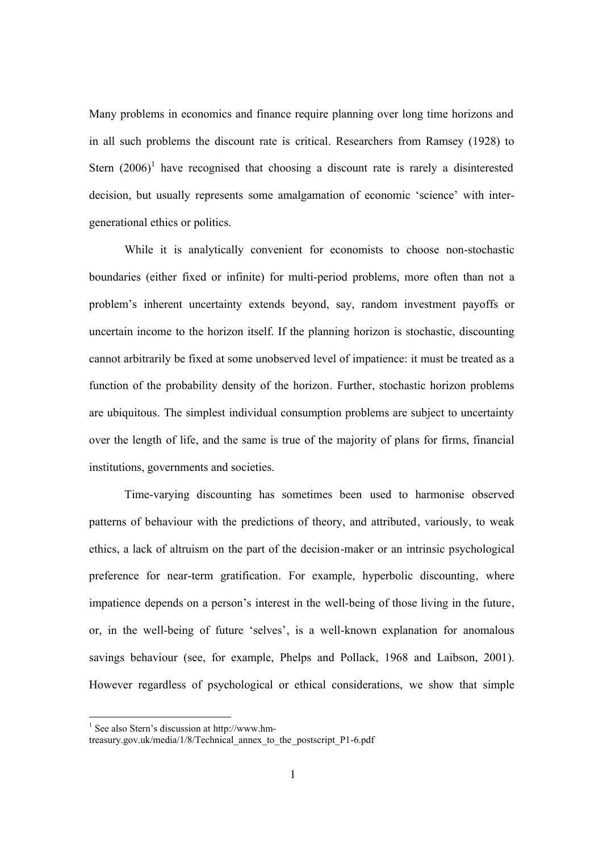Many problems in economics and finance require planning over long time horizons and in all such problems the discount rate is critical. Researchers from Ramsey (1928) to Stern  $(2006)^1$  have recognised that choosing a discount rate is rarely a disinterested decision, but usually represents some amalgamation of economic 'science' with intergenerational ethics or politics.

While it is analytically convenient for economists to choose non-stochastic boundaries (either fixed or infinite) for multi-period problems, more often than not a problem's inherent uncertainty extends beyond, say, random investment payoffs or uncertain income to the horizon itself. If the planning horizon is stochastic, discounting cannot arbitrarily be fixed at some unobserved level of impatience: it must be treated as a function of the probability density of the horizon. Further, stochastic horizon problems are ubiquitous. The simplest individual consumption problems are subject to uncertainty over the length of life, and the same is true of the majority of plans for firms, financial institutions, governments and societies.

Time-varying discounting has sometimes been used to harmonise observed patterns of behaviour with the predictions of theory, and attributed, variously, to weak ethics, a lack of altruism on the part of the decision-maker or an intrinsic psychological preference for near-term gratification. For example, hyperbolic discounting, where impatience depends on a person's interest in the well-being of those living in the future, or, in the well-being of future 'selves', is a well-known explanation for anomalous savings behaviour (see, for example, Phelps and Pollack, 1968 and Laibson, 2001). However regardless of psychological or ethical considerations, we show that simple

<sup>1</sup> See also Stern's discussion at http://www.hm-

treasury.gov.uk/media/1/8/Technical\_annex\_to\_the\_postscript\_P1-6.pdf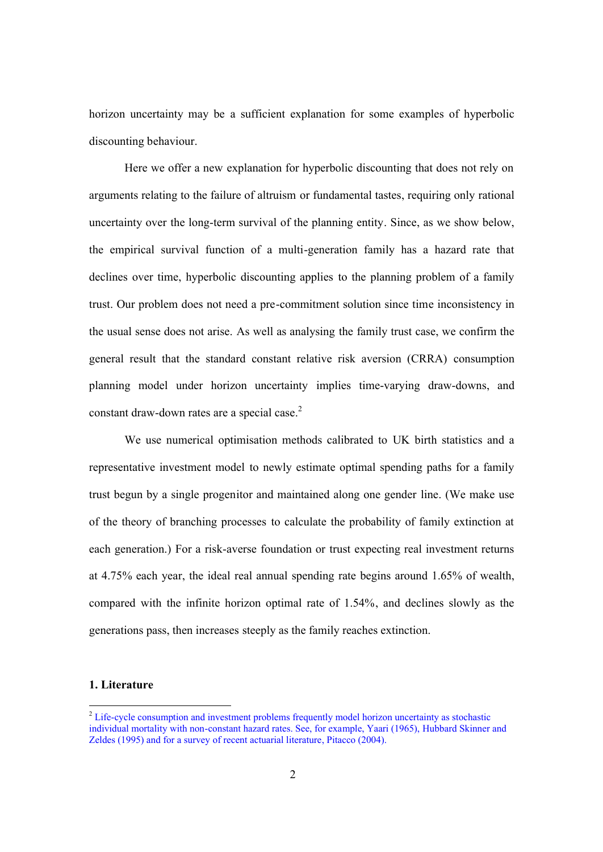horizon uncertainty may be a sufficient explanation for some examples of hyperbolic discounting behaviour.

Here we offer a new explanation for hyperbolic discounting that does not rely on arguments relating to the failure of altruism or fundamental tastes, requiring only rational uncertainty over the long-term survival of the planning entity. Since, as we show below, the empirical survival function of a multi-generation family has a hazard rate that declines over time, hyperbolic discounting applies to the planning problem of a family trust. Our problem does not need a pre-commitment solution since time inconsistency in the usual sense does not arise. As well as analysing the family trust case, we confirm the general result that the standard constant relative risk aversion (CRRA) consumption planning model under horizon uncertainty implies time-varying draw-downs, and constant draw-down rates are a special case. 2

We use numerical optimisation methods calibrated to UK birth statistics and a representative investment model to newly estimate optimal spending paths for a family trust begun by a single progenitor and maintained along one gender line. (We make use of the theory of branching processes to calculate the probability of family extinction at each generation.) For a risk-averse foundation or trust expecting real investment returns at 4.75% each year, the ideal real annual spending rate begins around 1.65% of wealth, compared with the infinite horizon optimal rate of 1.54%, and declines slowly as the generations pass, then increases steeply as the family reaches extinction.

## **1. Literature**

<sup>&</sup>lt;sup>2</sup> Life-cycle consumption and investment problems frequently model horizon uncertainty as stochastic individual mortality with non-constant hazard rates. See, for example, Yaari (1965), Hubbard Skinner and Zeldes (1995) and for a survey of recent actuarial literature, Pitacco (2004).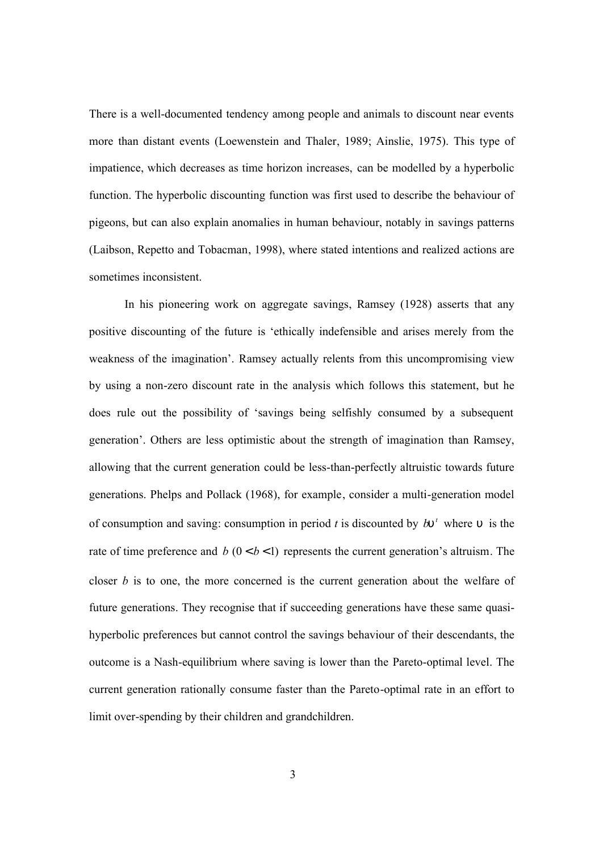There is a well-documented tendency among people and animals to discount near events more than distant events (Loewenstein and Thaler, 1989; Ainslie, 1975). This type of impatience, which decreases as time horizon increases, can be modelled by a hyperbolic function. The hyperbolic discounting function was first used to describe the behaviour of pigeons, but can also explain anomalies in human behaviour, notably in savings patterns (Laibson, Repetto and Tobacman, 1998), where stated intentions and realized actions are sometimes inconsistent.

In his pioneering work on aggregate savings, Ramsey (1928) asserts that any positive discounting of the future is 'ethically indefensible and arises merely from the weakness of the imagination'. Ramsey actually relents from this uncompromising view by using a non-zero discount rate in the analysis which follows this statement, but he does rule out the possibility of 'savings being selfishly consumed by a subsequent generation'. Others are less optimistic about the strength of imagination than Ramsey, allowing that the current generation could be less-than-perfectly altruistic towards future generations. Phelps and Pollack (1968), for example, consider a multi-generation model of consumption and saving: consumption in period *t* is discounted by  $b\mathbf{u}^t$  where  $\mathbf{u}$  is the rate of time preference and  $b(0 < b < 1)$  represents the current generation's altruism. The closer *b* is to one, the more concerned is the current generation about the welfare of future generations. They recognise that if succeeding generations have these same quasihyperbolic preferences but cannot control the savings behaviour of their descendants, the outcome is a Nash-equilibrium where saving is lower than the Pareto-optimal level. The current generation rationally consume faster than the Pareto-optimal rate in an effort to limit over-spending by their children and grandchildren.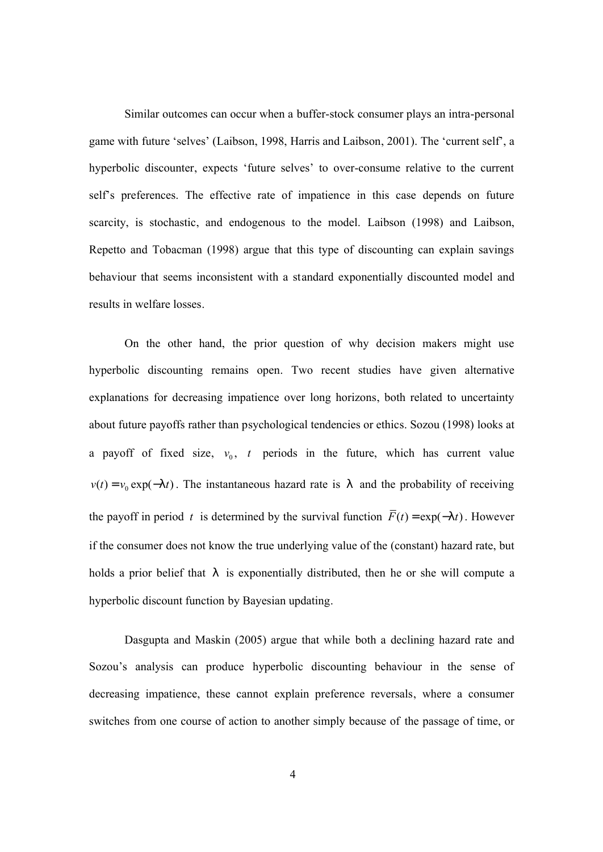Similar outcomes can occur when a buffer-stock consumer plays an intra-personal game with future 'selves' (Laibson, 1998, Harris and Laibson, 2001). The 'current self', a hyperbolic discounter, expects 'future selves' to over-consume relative to the current self's preferences. The effective rate of impatience in this case depends on future scarcity, is stochastic, and endogenous to the model. Laibson (1998) and Laibson, Repetto and Tobacman (1998) argue that this type of discounting can explain savings behaviour that seems inconsistent with a standard exponentially discounted model and results in welfare losses.

On the other hand, the prior question of why decision makers might use hyperbolic discounting remains open. Two recent studies have given alternative explanations for decreasing impatience over long horizons, both related to uncertainty about future payoffs rather than psychological tendencies or ethics. Sozou (1998) looks at a payoff of fixed size,  $v_0$ ,  $t$  periods in the future, which has current value  $v(t) = v_0 \exp(-|t|)$ . The instantaneous hazard rate is *l* and the probability of receiving the payoff in period *t* is determined by the survival function  $\overline{F}(t) = \exp(-|t|)$ . However if the consumer does not know the true underlying value of the (constant) hazard rate, but holds a prior belief that *l* is exponentially distributed, then he or she will compute a hyperbolic discount function by Bayesian updating.

Dasgupta and Maskin (2005) argue that while both a declining hazard rate and Sozou's analysis can produce hyperbolic discounting behaviour in the sense of decreasing impatience, these cannot explain preference reversals, where a consumer switches from one course of action to another simply because of the passage of time, or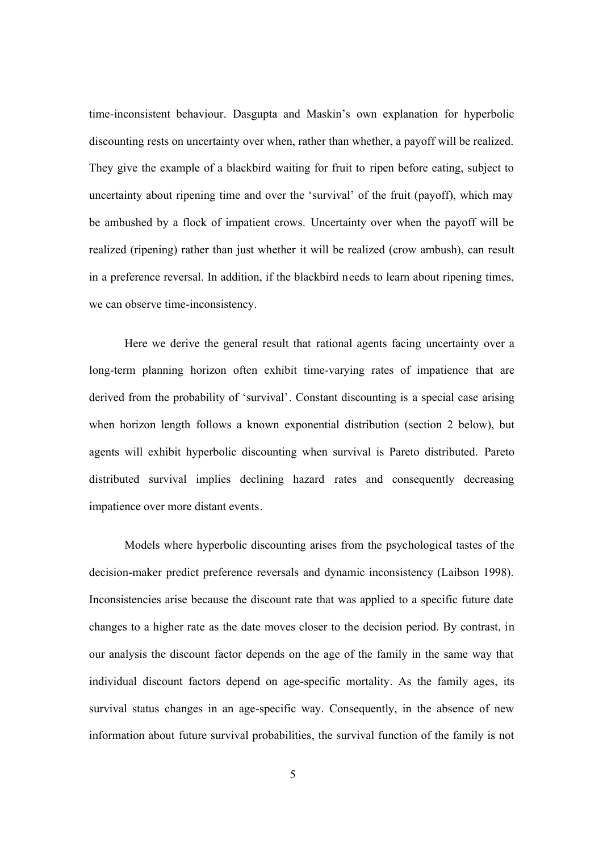time-inconsistent behaviour. Dasgupta and Maskin's own explanation for hyperbolic discounting rests on uncertainty over when, rather than whether, a payoff will be realized. They give the example of a blackbird waiting for fruit to ripen before eating, subject to uncertainty about ripening time and over the 'survival' of the fruit (payoff), which may be ambushed by a flock of impatient crows. Uncertainty over when the payoff will be realized (ripening) rather than just whether it will be realized (crow ambush), can result in a preference reversal. In addition, if the blackbird needs to learn about ripening times, we can observe time-inconsistency.

Here we derive the general result that rational agents facing uncertainty over a long-term planning horizon often exhibit time-varying rates of impatience that are derived from the probability of 'survival'. Constant discounting is a special case arising when horizon length follows a known exponential distribution (section 2 below), but agents will exhibit hyperbolic discounting when survival is Pareto distributed. Pareto distributed survival implies declining hazard rates and consequently decreasing impatience over more distant events.

Models where hyperbolic discounting arises from the psychological tastes of the decision-maker predict preference reversals and dynamic inconsistency (Laibson 1998). Inconsistencies arise because the discount rate that was applied to a specific future date changes to a higher rate as the date moves closer to the decision period. By contrast, in our analysis the discount factor depends on the age of the family in the same way that individual discount factors depend on age-specific mortality. As the family ages, its survival status changes in an age-specific way. Consequently, in the absence of new information about future survival probabilities, the survival function of the family is not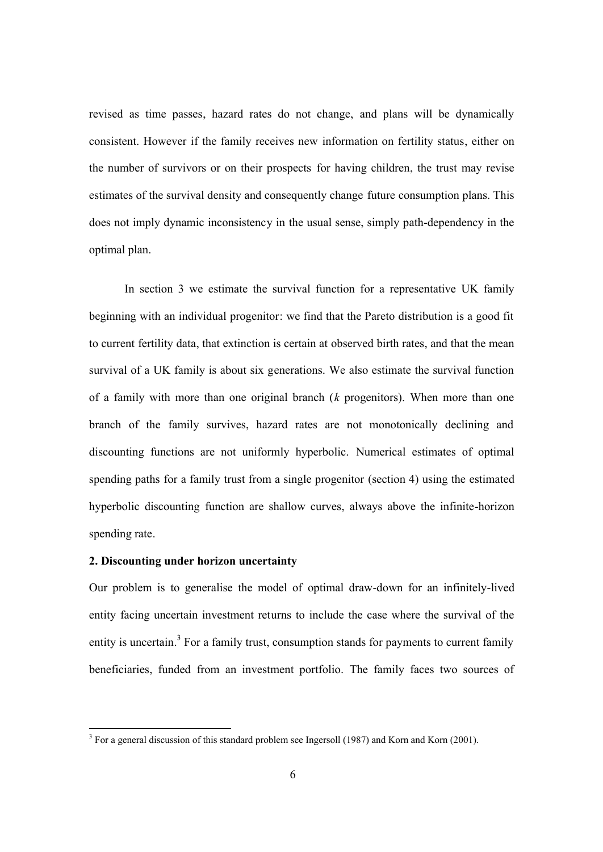revised as time passes, hazard rates do not change, and plans will be dynamically consistent. However if the family receives new information on fertility status, either on the number of survivors or on their prospects for having children, the trust may revise estimates of the survival density and consequently change future consumption plans. This does not imply dynamic inconsistency in the usual sense, simply path-dependency in the optimal plan.

In section 3 we estimate the survival function for a representative UK family beginning with an individual progenitor: we find that the Pareto distribution is a good fit to current fertility data, that extinction is certain at observed birth rates, and that the mean survival of a UK family is about six generations. We also estimate the survival function of a family with more than one original branch (*k* progenitors). When more than one branch of the family survives, hazard rates are not monotonically declining and discounting functions are not uniformly hyperbolic. Numerical estimates of optimal spending paths for a family trust from a single progenitor (section 4) using the estimated hyperbolic discounting function are shallow curves, always above the infinite-horizon spending rate.

### **2. Discounting under horizon uncertainty**

-

Our problem is to generalise the model of optimal draw-down for an infinitely-lived entity facing uncertain investment returns to include the case where the survival of the entity is uncertain.<sup>3</sup> For a family trust, consumption stands for payments to current family beneficiaries, funded from an investment portfolio. The family faces two sources of

 $3$  For a general discussion of this standard problem see Ingersoll (1987) and Korn and Korn (2001).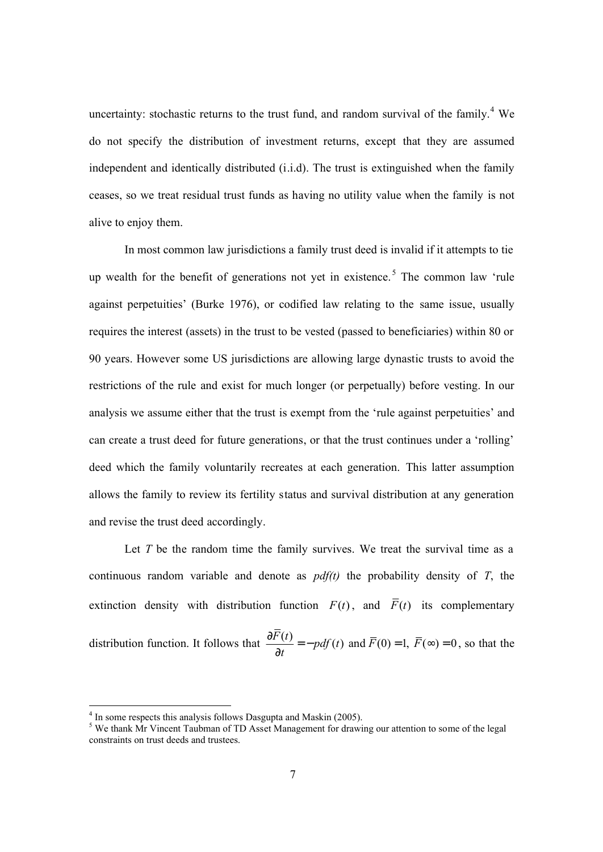uncertainty: stochastic returns to the trust fund, and random survival of the family.<sup>4</sup> We do not specify the distribution of investment returns, except that they are assumed independent and identically distributed (i.i.d). The trust is extinguished when the family ceases, so we treat residual trust funds as having no utility value when the family is not alive to enjoy them.

In most common law jurisdictions a family trust deed is invalid if it attempts to tie up wealth for the benefit of generations not yet in existence.<sup>5</sup> The common law 'rule against perpetuities' (Burke 1976), or codified law relating to the same issue, usually requires the interest (assets) in the trust to be vested (passed to beneficiaries) within 80 or 90 years. However some US jurisdictions are allowing large dynastic trusts to avoid the restrictions of the rule and exist for much longer (or perpetually) before vesting. In our analysis we assume either that the trust is exempt from the 'rule against perpetuities' and can create a trust deed for future generations, or that the trust continues under a 'rolling' deed which the family voluntarily recreates at each generation. This latter assumption allows the family to review its fertility status and survival distribution at any generation and revise the trust deed accordingly.

Let *T* be the random time the family survives. We treat the survival time as a continuous random variable and denote as *pdf(t)* the probability density of *T*, the extinction density with distribution function  $F(t)$ , and  $\overline{F}(t)$  its complementary distribution function. It follows that  $\frac{\partial F(t)}{\partial \theta} = -p df(t)$  and  $\overline{F}(0) = 1$ ,  $\overline{F}(\infty) = 0$ *t*  $\frac{\partial F(t)}{\partial} = -p df(t)$  and  $\overline{F}(0) = 1$ ,  $\overline{F}(\infty) =$ ∂ , so that the

<sup>&</sup>lt;sup>4</sup> In some respects this analysis follows Dasgupta and Maskin (2005).

<sup>&</sup>lt;sup>5</sup> We thank Mr Vincent Taubman of TD Asset Management for drawing our attention to some of the legal constraints on trust deeds and trustees.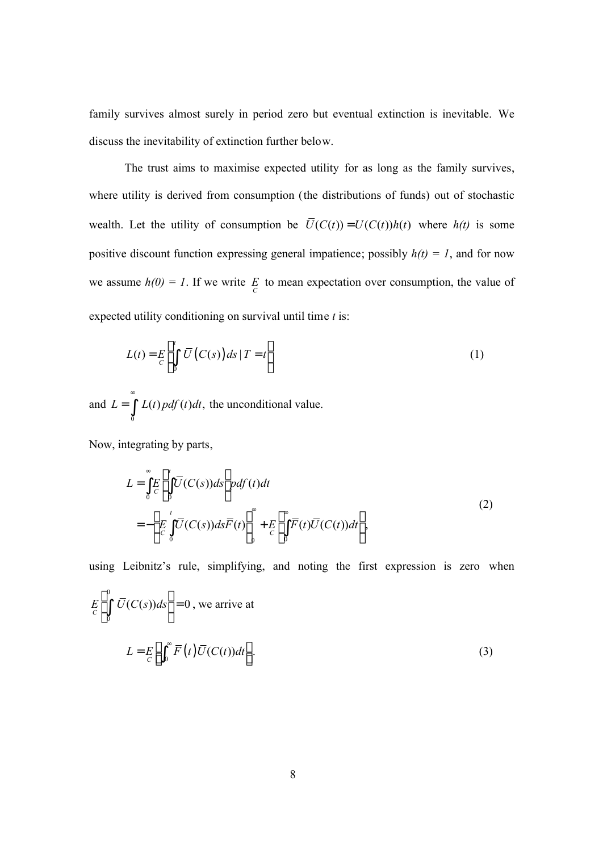family survives almost surely in period zero but eventual extinction is inevitable. We discuss the inevitability of extinction further below.

The trust aims to maximise expected utility for as long as the family survives, where utility is derived from consumption (the distributions of funds) out of stochastic wealth. Let the utility of consumption be  $\overline{U}(C(t)) = U(C(t))h(t)$  where  $h(t)$  is some positive discount function expressing general impatience; possibly  $h(t) = 1$ , and for now we assume  $h(0) = 1$ . If we write  $E\underset{C}{E}$  to mean expectation over consumption, the value of expected utility conditioning on survival until time *t* is:

$$
L(t) = E\left[\int_{0}^{t} \overline{U}\left(C(s)\right)ds \mid T = t\right]
$$
\n(1)

and  $\boldsymbol{0}$  $L = \int L(t) p df(t) dt$ , ∞  $=$   $\int L(t) p df(t) dt$ , the unconditional value.

Now, integrating by parts,

$$
L = \int_{0}^{\infty} E \left[ \int_{0}^{t} \overline{U}(C(s)) ds \right] pdf(t) dt
$$
  
= 
$$
- \left[ E \int_{C}^{t} \overline{U}(C(s)) ds \overline{F}(t) \right]_{0}^{\infty} + E \left[ \int_{0}^{\infty} \overline{F}(t) \overline{U}(C(t)) dt \right],
$$
 (2)

using Leibnitz's rule, simplifying, and noting the first expression is zero when

$$
E\left[\int_{0}^{0} \overline{U}(C(s))ds\right] = 0, \text{ we arrive at}
$$

$$
L = E\left[\int_{0}^{\infty} \overline{F}(t) \overline{U}(C(t))dt\right].
$$
 (3)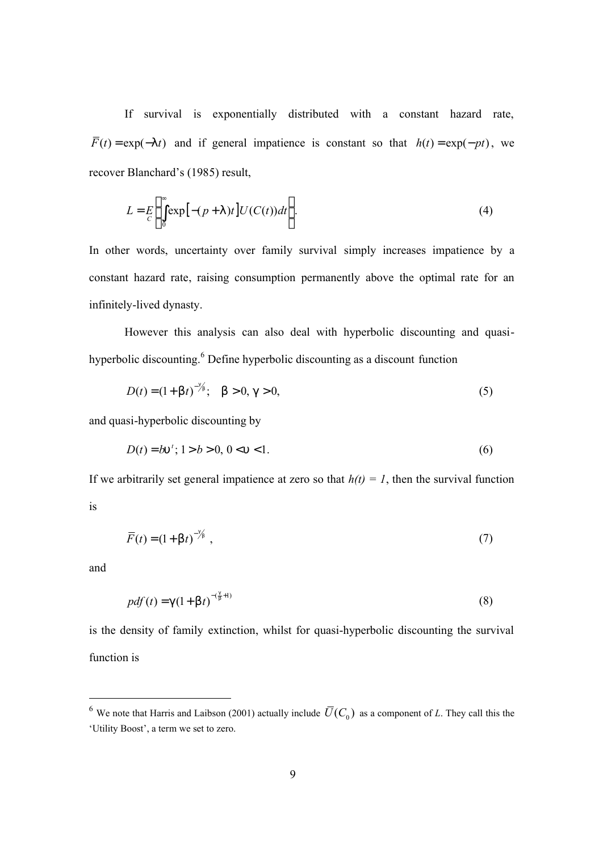If survival is exponentially distributed with a constant hazard rate,  $\overline{F}(t) = \exp(-|t|)$  and if general impatience is constant so that  $h(t) = \exp(-pt)$ , we recover Blanchard's (1985) result,

$$
L = E\left\{\int_{0}^{\infty} \exp\left[-(p+1)t\right] U(C(t))dt\right\}.
$$
 (4)

In other words, uncertainty over family survival simply increases impatience by a constant hazard rate, raising consumption permanently above the optimal rate for an infinitely-lived dynasty.

However this analysis can also deal with hyperbolic discounting and quasihyperbolic discounting.<sup>6</sup> Define hyperbolic discounting as a discount function

$$
D(t) = (1 + b t)^{-\frac{q}{2b}}, \quad b > 0, g > 0,
$$
\n(5)

and quasi-hyperbolic discounting by

*g*

$$
D(t) = b\mathbf{u}^t; 1 > b > 0, 0 < \mathbf{u} < 1.
$$
 (6)

If we arbitrarily set general impatience at zero so that  $h(t) = 1$ , then the survival function is

$$
\overline{F}(t) = (1 + \mathsf{b}t)^{-\frac{9}{6}},\tag{7}
$$

and

-

$$
pdf(t) = g(1 + b t)^{-(\frac{a}{b} + 1)}
$$
\n(8)

is the density of family extinction, whilst for quasi-hyperbolic discounting the survival function is

<sup>&</sup>lt;sup>6</sup> We note that Harris and Laibson (2001) actually include  $\overline{U}(C_0)$  as a component of *L*. They call this the 'Utility Boost', a term we set to zero.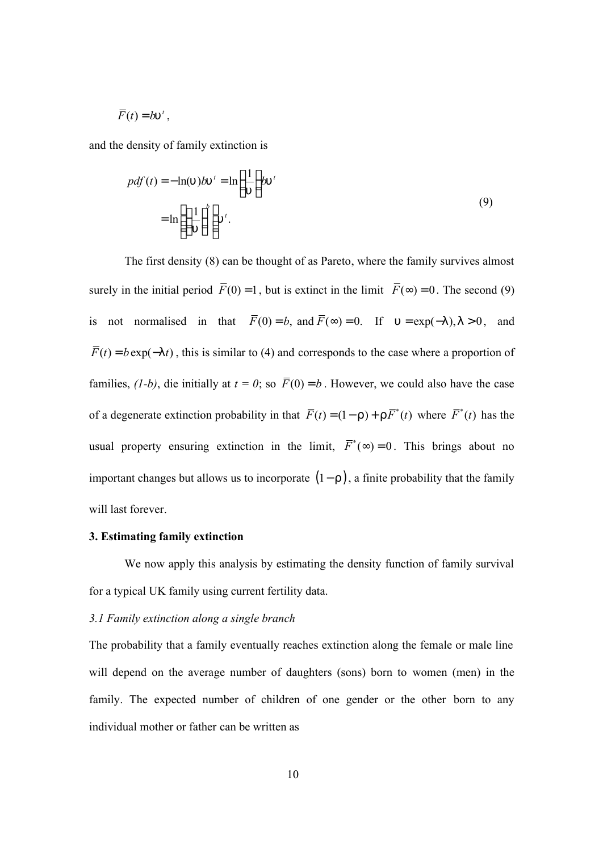$$
\overline{F}(t) = b u^t,
$$

and the density of family extinction is

$$
pdf(t) = -\ln(u)bu' = \ln\left(\frac{1}{u}\right)bu'
$$
  
= 
$$
\ln\left(\left(\frac{1}{u}\right)^{b}\right)u'
$$
 (9)

The first density (8) can be thought of as Pareto, where the family survives almost surely in the initial period  $\overline{F}(0) = 1$ , but is extinct in the limit  $\overline{F}(\infty) = 0$ . The second (9) is not normalised in that  $\overline{F}(0) = b$ , and  $\overline{F}(\infty) = 0$ . If  $u = \exp(-1)$ ,  $1 > 0$ , and  $\overline{F}(t) = b \exp(-|t|)$ , this is similar to (4) and corresponds to the case where a proportion of families,  $(1-b)$ , die initially at  $t = 0$ ; so  $\overline{F}(0) = b$ . However, we could also have the case of a degenerate extinction probability in that  $\overline{F}(t) = (1 - r) + r \overline{F}^*(t)$  where  $\overline{F}^*(t)$  has the usual property ensuring extinction in the limit,  $\overline{F}^*(\infty) = 0$ . This brings about no important changes but allows us to incorporate (1− *r* ), a finite probability that the family will last forever.

#### **3. Estimating family extinction**

We now apply this analysis by estimating the density function of family survival for a typical UK family using current fertility data.

## *3.1 Family extinction along a single branch*

The probability that a family eventually reaches extinction along the female or male line will depend on the average number of daughters (sons) born to women (men) in the family. The expected number of children of one gender or the other born to any individual mother or father can be written as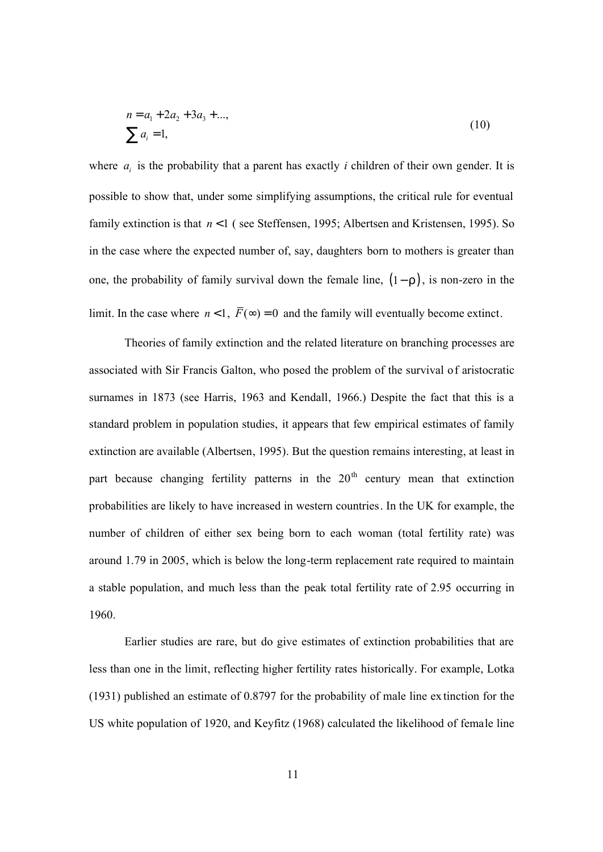$$
n = a_1 + 2a_2 + 3a_3 + \dots,
$$
  
\n
$$
\sum a_i = 1,
$$
\n(10)

where  $a_i$  is the probability that a parent has exactly *i* children of their own gender. It is possible to show that, under some simplifying assumptions, the critical rule for eventual family extinction is that  $n < 1$  (see Steffensen, 1995; Albertsen and Kristensen, 1995). So in the case where the expected number of, say, daughters born to mothers is greater than one, the probability of family survival down the female line, (1− *r* ), is non-zero in the limit. In the case where  $n < 1$ ,  $\overline{F}(\infty) = 0$  and the family will eventually become extinct.

Theories of family extinction and the related literature on branching processes are associated with Sir Francis Galton, who posed the problem of the survival of aristocratic surnames in 1873 (see Harris, 1963 and Kendall, 1966.) Despite the fact that this is a standard problem in population studies, it appears that few empirical estimates of family extinction are available (Albertsen, 1995). But the question remains interesting, at least in part because changing fertility patterns in the  $20<sup>th</sup>$  century mean that extinction probabilities are likely to have increased in western countries. In the UK for example, the number of children of either sex being born to each woman (total fertility rate) was around 1.79 in 2005, which is below the long-term replacement rate required to maintain a stable population, and much less than the peak total fertility rate of 2.95 occurring in 1960.

Earlier studies are rare, but do give estimates of extinction probabilities that are less than one in the limit, reflecting higher fertility rates historically. For example, Lotka (1931) published an estimate of 0.8797 for the probability of male line ex tinction for the US white population of 1920, and Keyfitz (1968) calculated the likelihood of female line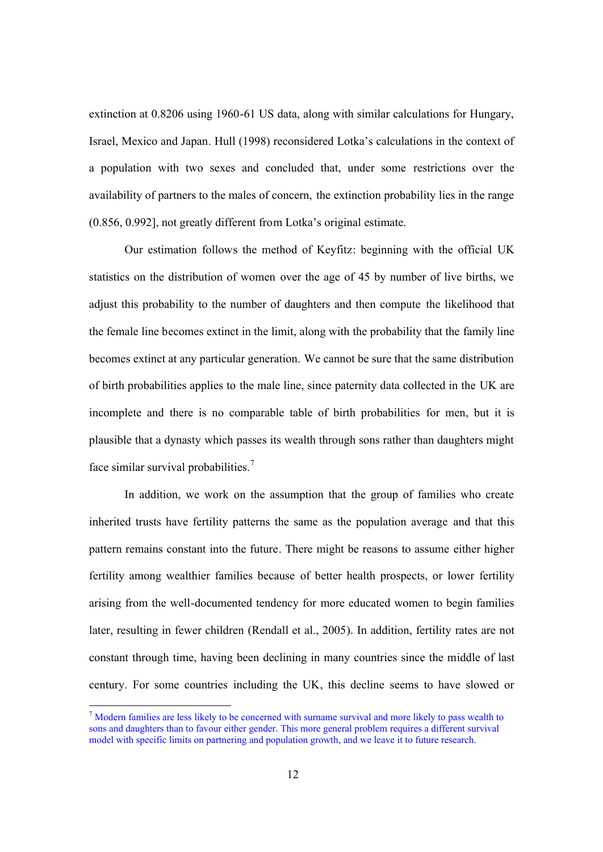extinction at 0.8206 using 1960-61 US data, along with similar calculations for Hungary, Israel, Mexico and Japan. Hull (1998) reconsidered Lotka's calculations in the context of a population with two sexes and concluded that, under some restrictions over the availability of partners to the males of concern, the extinction probability lies in the range (0.856, 0.992], not greatly different from Lotka's original estimate.

Our estimation follows the method of Keyfitz: beginning with the official UK statistics on the distribution of women over the age of 45 by number of live births, we adjust this probability to the number of daughters and then compute the likelihood that the female line becomes extinct in the limit, along with the probability that the family line becomes extinct at any particular generation. We cannot be sure that the same distribution of birth probabilities applies to the male line, since paternity data collected in the UK are incomplete and there is no comparable table of birth probabilities for men, but it is plausible that a dynasty which passes its wealth through sons rather than daughters might face similar survival probabilities.<sup>7</sup>

In addition, we work on the assumption that the group of families who create inherited trusts have fertility patterns the same as the population average and that this pattern remains constant into the future. There might be reasons to assume either higher fertility among wealthier families because of better health prospects, or lower fertility arising from the well-documented tendency for more educated women to begin families later, resulting in fewer children (Rendall et al., 2005). In addition, fertility rates are not constant through time, having been declining in many countries since the middle of last century. For some countries including the UK, this decline seems to have slowed or

<sup>&</sup>lt;sup>7</sup> Modern families are less likely to be concerned with surname survival and more likely to pass wealth to sons and daughters than to favour either gender. This more general problem requires a different survival model with specific limits on partnering and population growth, and we leave it to future research.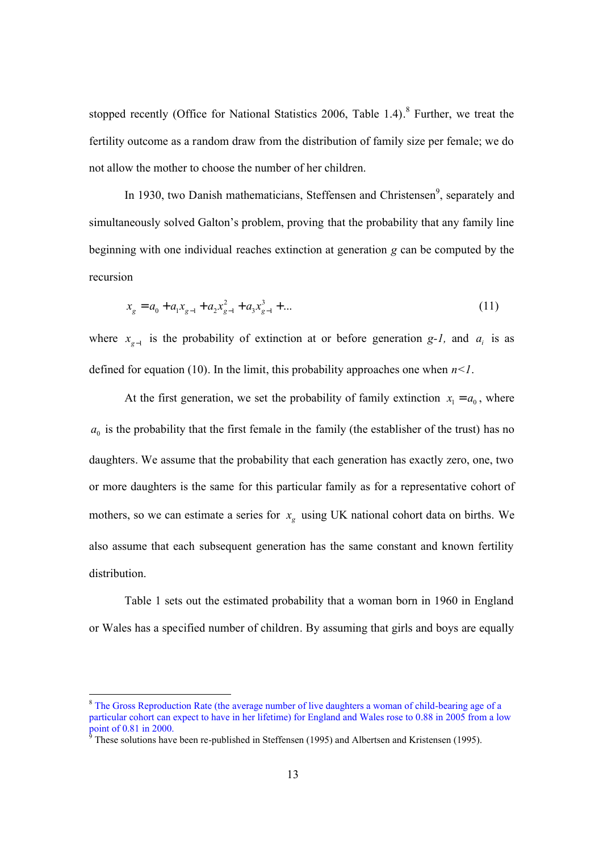stopped recently (Office for National Statistics 2006, Table 1.4).<sup>8</sup> Further, we treat the fertility outcome as a random draw from the distribution of family size per female; we do not allow the mother to choose the number of her children.

In 1930, two Danish mathematicians, Steffensen and Christensen<sup>9</sup>, separately and simultaneously solved Galton's problem, proving that the probability that any family line beginning with one individual reaches extinction at generation *g* can be computed by the recursion

$$
x_g = a_0 + a_1 x_{g-1} + a_2 x_{g-1}^2 + a_3 x_{g-1}^3 + \dots
$$
\n(11)

where  $x_{g-1}$  is the probability of extinction at or before generation *g-1*, and  $a_i$  is as defined for equation (10). In the limit, this probability approaches one when  $n < 1$ .

At the first generation, we set the probability of family extinction  $x_1 = a_0$ , where  $a_0$  is the probability that the first female in the family (the establisher of the trust) has no daughters. We assume that the probability that each generation has exactly zero, one, two or more daughters is the same for this particular family as for a representative cohort of mothers, so we can estimate a series for  $x<sub>g</sub>$  using UK national cohort data on births. We also assume that each subsequent generation has the same constant and known fertility distribution.

Table 1 sets out the estimated probability that a woman born in 1960 in England or Wales has a specified number of children. By assuming that girls and boys are equally

<sup>8</sup> The Gross Reproduction Rate (the average number of live daughters a woman of child-bearing age of a particular cohort can expect to have in her lifetime) for England and Wales rose to 0.88 in 2005 from a low point of 0.81 in 2000.<br><sup>9</sup> These solutions have been re-published in Steffensen (1995) and Albertsen and Kristensen (1995).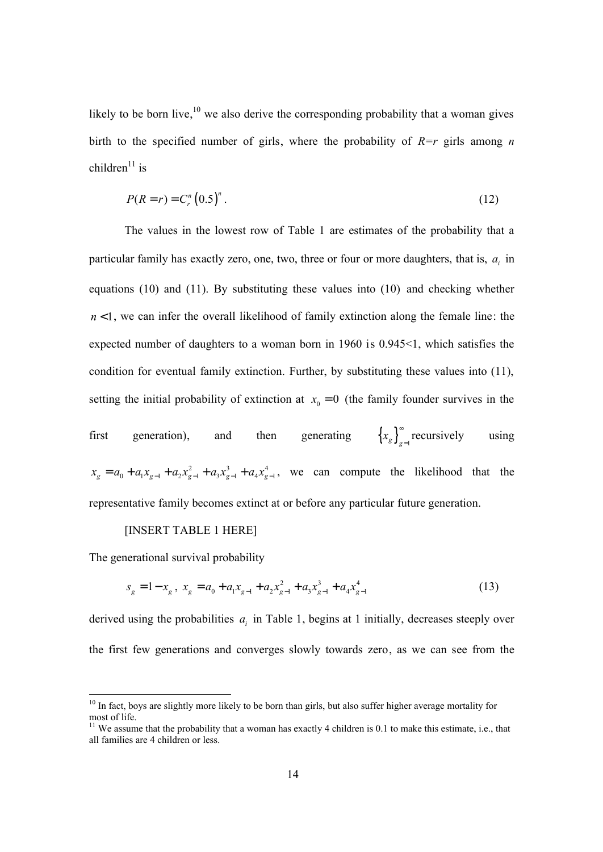likely to be born live,  $10$  we also derive the corresponding probability that a woman gives birth to the specified number of girls, where the probability of  $R=r$  girls among *n* children $11$  is

$$
P(R = r) = C_r^n (0.5)^n.
$$
 (12)

The values in the lowest row of Table 1 are estimates of the probability that a particular family has exactly zero, one, two, three or four or more daughters, that is,  $a_i$  in equations (10) and (11). By substituting these values into (10) and checking whether  $n < 1$ , we can infer the overall likelihood of family extinction along the female line: the expected number of daughters to a woman born in 1960 is 0.945<1, which satisfies the condition for eventual family extinction. Further, by substituting these values into (11), setting the initial probability of extinction at  $x_0 = 0$  (the family founder survives in the

first generation), and then generating  $\left\{x_g\right\}_{g=1}^{\infty}$  $=$ <sub>1</sub> recursively using 2  $a \cdot 3$   $a \cdot 4$  $x_g = a_0 + a_1 x_{g-1} + a_2 x_{g-1}^2 + a_3 x_{g-1}^3 + a_4 x_{g-1}^4$ , we can compute the likelihood that the representative family becomes extinct at or before any particular future generation.

## [INSERT TABLE 1 HERE]

The generational survival probability

-

$$
s_g = 1 - x_g, \ x_g = a_0 + a_1 x_{g-1} + a_2 x_{g-1}^2 + a_3 x_{g-1}^3 + a_4 x_{g-1}^4 \tag{13}
$$

derived using the probabilities  $a_i$  in Table 1, begins at 1 initially, decreases steeply over the first few generations and converges slowly towards zero, as we can see from the

<sup>&</sup>lt;sup>10</sup> In fact, boys are slightly more likely to be born than girls, but also suffer higher average mortality for most of life.

 $11$  We assume that the probability that a woman has exactly 4 children is 0.1 to make this estimate, i.e., that all families are 4 children or less.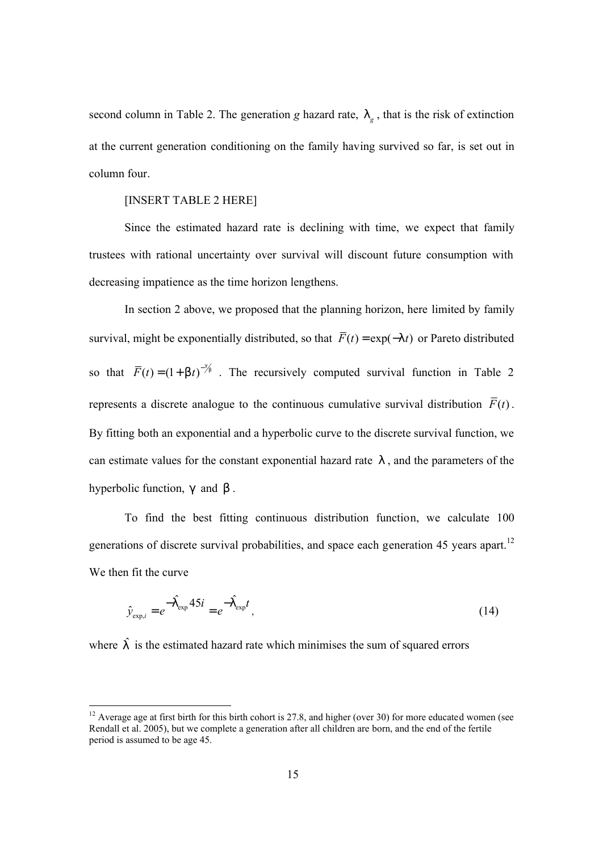second column in Table 2. The generation *g* hazard rate, *l<sup>g</sup>* , that is the risk of extinction at the current generation conditioning on the family having survived so far, is set out in column four.

#### [INSERT TABLE 2 HERE]

Since the estimated hazard rate is declining with time, we expect that family trustees with rational uncertainty over survival will discount future consumption with decreasing impatience as the time horizon lengthens.

In section 2 above, we proposed that the planning horizon, here limited by family survival, might be exponentially distributed, so that  $\overline{F}(t) = \exp(-|t|)$  or Pareto distributed so that  $\overline{F}(t) = (1 + b t)^{-\frac{a}{2b}}$ . The recursively computed survival function in Table 2 represents a discrete analogue to the continuous cumulative survival distribution  $\overline{F}(t)$ . By fitting both an exponential and a hyperbolic curve to the discrete survival function, we can estimate values for the constant exponential hazard rate *l* , and the parameters of the hyperbolic function, *g* and *b* .

To find the best fitting continuous distribution function, we calculate 100 generations of discrete survival probabilities, and space each generation 45 years apart.<sup>12</sup> We then fit the curve

$$
\hat{\mathcal{Y}}_{\exp,i} = e^{-\hat{\mathbf{I}}_{\exp}^{\dagger} 45i} = e^{-\hat{\mathbf{I}}_{\exp}^{\dagger} t},\tag{14}
$$

where  $\hat{\mathbf{l}}$  is the estimated hazard rate which minimises the sum of squared errors

<sup>&</sup>lt;sup>12</sup> Average age at first birth for this birth cohort is 27.8, and higher (over 30) for more educated women (see Rendall et al. 2005), but we complete a generation after all children are born, and the end of the fertile period is assumed to be age 45.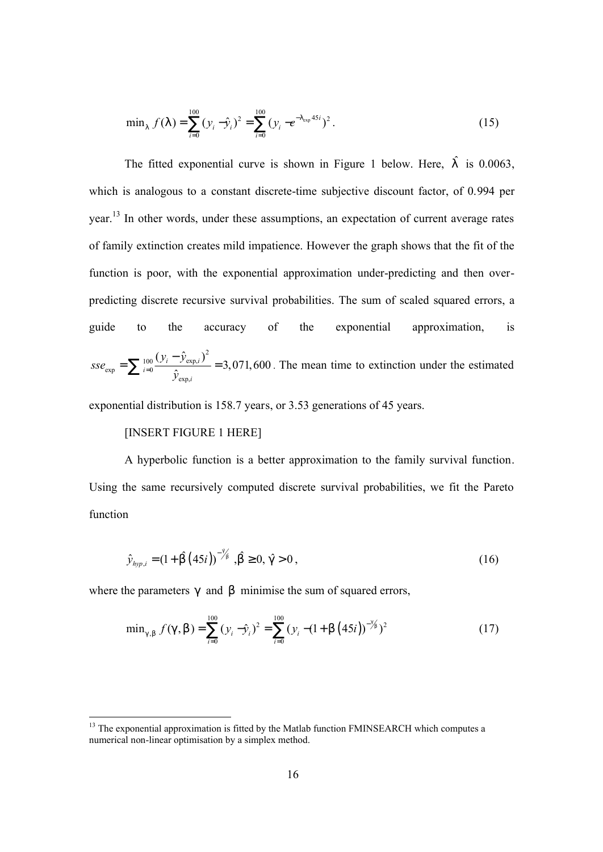$$
\min_{1} f(1) = \sum_{i=0}^{100} (y_i - \hat{y}_i)^2 = \sum_{i=0}^{100} (y_i - e^{-1} \exp^{45i})^2.
$$
 (15)

The fitted exponential curve is shown in Figure 1 below. Here,  $\hat{\Gamma}$  is 0.0063, which is analogous to a constant discrete-time subjective discount factor, of 0.994 per year.<sup>13</sup> In other words, under these assumptions, an expectation of current average rates of family extinction creates mild impatience. However the graph shows that the fit of the function is poor, with the exponential approximation under-predicting and then overpredicting discrete recursive survival probabilities. The sum of scaled squared errors, a guide to the accuracy of the exponential approximation, is 2 100  $V_i$   $V_{exp_i}$  $\exp$   $\sum$  i=0 exp,  $(y_i - \hat{y}_{\text{exn }i})$ 3,071,600  $\hat{\mathcal{V}}$  $i$   $\mathcal{Y}_{exp,i}$ *i i y y*  $\textit{csc}_{\text{exp}} = \sum_{i=0}^{100} \frac{\sqrt{t}}{i}$  $=\sum_{i=0}^{100} \frac{(y_i - \hat{y}_{exp,i})^2}{\hat{y}_{exp,i}}$  = 3,071,600. The mean time to extinction under the estimated

exponential distribution is 158.7 years, or 3.53 generations of 45 years.

# [INSERT FIGURE 1 HERE]

-

A hyperbolic function is a better approximation to the family survival function. Using the same recursively computed discrete survival probabilities, we fit the Pareto function

$$
\hat{y}_{hyp,i} = (1 + \hat{D}(45i))^{-\frac{4}{5}} , \hat{D} \ge 0, \hat{g} > 0 ,
$$
\n(16)

where the parameters g and **b** minimise the sum of squared errors,

$$
\min_{g,b} f(g,b) = \sum_{i=0}^{100} (y_i - \hat{y}_i)^2 = \sum_{i=0}^{100} (y_i - (1 + b(45i))^{-\frac{9}{5}})^2
$$
 (17)

 $13$  The exponential approximation is fitted by the Matlab function FMINSEARCH which computes a numerical non-linear optimisation by a simplex method.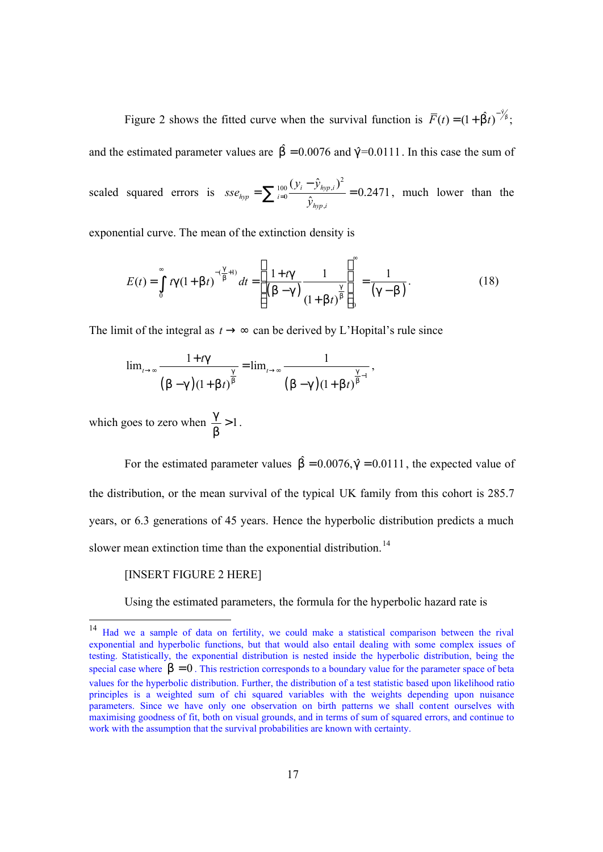Figure 2 shows the fitted curve when the survival function is  $\overline{F}(t) = (1 + \hat{b}t)^{-\frac{3}{2}}$ ; and the estimated parameter values are  $\hat{b} = 0.0076$  and  $\hat{q} = 0.0111$ . In this case the sum of scaled squared errors is 2 100  $V_i$   $V_{hyp}$ , 0 ,  $(y_i - \hat{y}_{hm,i})$ 0.2471 ˆ *i hyp i hyp i hyp i y y sse*  $\hat{y}$  $=\sum_{i=0}^{100} \frac{(y_i - \hat{y}_{hyp,i})^2}{\hat{y}_{i}} = 0.2471$ , much lower than the

exponential curve. The mean of the extinction density is

$$
E(t) = \int_{0}^{\infty} t g (1 + b t)^{-(\frac{g}{b} + 1)} dt = \left[ \frac{1 + t g}{(b - g)} \frac{1}{(1 + b t)^{\frac{g}{b}}} \right]_{0}^{\infty} = \frac{1}{(g - b)}.
$$
 (18)

The limit of the integral as  $t \rightarrow \infty$  can be derived by L'Hopital's rule since

$$
\lim_{t \to \infty} \frac{1 + t \sin{g}}{\left(b - g\right) \left(1 + b t\right)^{\frac{g}{b}}} = \lim_{t \to \infty} \frac{1}{\left(b - g\right) \left(1 + b t\right)^{\frac{g}{b} - 1}},
$$

which goes to zero when  $\frac{g}{f} > 1$ *b*  $> 1$ .

For the estimated parameter values  $\hat{b} = 0.0076$ , $\hat{g} = 0.0111$ , the expected value of the distribution, or the mean survival of the typical UK family from this cohort is 285.7 years, or 6.3 generations of 45 years. Hence the hyperbolic distribution predicts a much slower mean extinction time than the exponential distribution.<sup>14</sup>

### [INSERT FIGURE 2 HERE]

-

Using the estimated parameters, the formula for the hyperbolic hazard rate is

<sup>&</sup>lt;sup>14</sup> Had we a sample of data on fertility, we could make a statistical comparison between the rival exponential and hyperbolic functions, but that would also entail dealing with some complex issues of testing. Statistically, the exponential distribution is nested inside the hyperbolic distribution, being the special case where  $b = 0$ . This restriction corresponds to a boundary value for the parameter space of beta values for the hyperbolic distribution. Further, the distribution of a test statistic based upon likelihood ratio principles is a weighted sum of chi squared variables with the weights depending upon nuisance parameters. Since we have only one observation on birth patterns we shall content ourselves with maximising goodness of fit, both on visual grounds, and in terms of sum of squared errors, and continue to work with the assumption that the survival probabilities are known with certainty.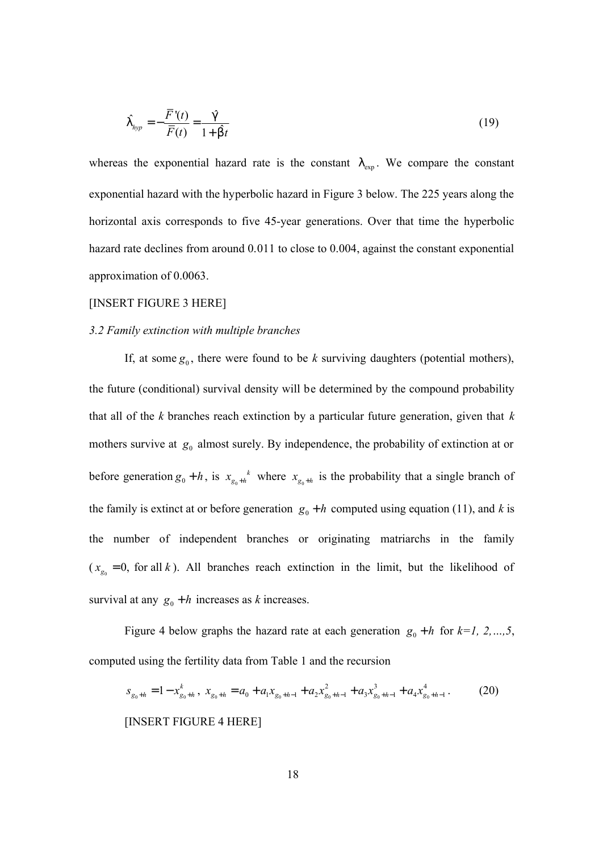$$
\hat{\Gamma}_{hyp} = -\frac{\overline{F}(t)}{\overline{F}(t)} = \frac{\hat{\mathfrak{g}}}{1 + \hat{\mathfrak{b}}t} \tag{19}
$$

whereas the exponential hazard rate is the constant *l*<sub>exp</sub>. We compare the constant exponential hazard with the hyperbolic hazard in Figure 3 below. The 225 years along the horizontal axis corresponds to five 45-year generations. Over that time the hyperbolic hazard rate declines from around 0.011 to close to 0.004, against the constant exponential approximation of 0.0063.

### [INSERT FIGURE 3 HERE]

### *3.2 Family extinction with multiple branches*

If, at some  $g_0$ , there were found to be *k* surviving daughters (potential mothers), the future (conditional) survival density will be determined by the compound probability that all of the *k* branches reach extinction by a particular future generation, given that *k* mothers survive at  $g_0$  almost surely. By independence, the probability of extinction at or before generation  $g_0 + h$ , is  $x_{g_0}$ *k*  $x_{g_0+h}$ <sup>k</sup> where  $x_{g_0+h}$  is the probability that a single branch of the family is extinct at or before generation  $g_0 + h$  computed using equation (11), and *k* is the number of independent branches or originating matriarchs in the family  $(x_{g_0} = 0$ , for all k). All branches reach extinction in the limit, but the likelihood of survival at any  $g_0 + h$  increases as *k* increases.

Figure 4 below graphs the hazard rate at each generation  $g_0 + h$  for  $k=1, 2, ..., 5$ , computed using the fertility data from Table 1 and the recursion

$$
s_{g_0+h} = 1 - x_{g_0+h}^k, \ x_{g_0+h} = a_0 + a_1 x_{g_0+h-1} + a_2 x_{g_0+h-1}^2 + a_3 x_{g_0+h-1}^3 + a_4 x_{g_0+h-1}^4. \tag{20}
$$

[INSERT FIGURE 4 HERE]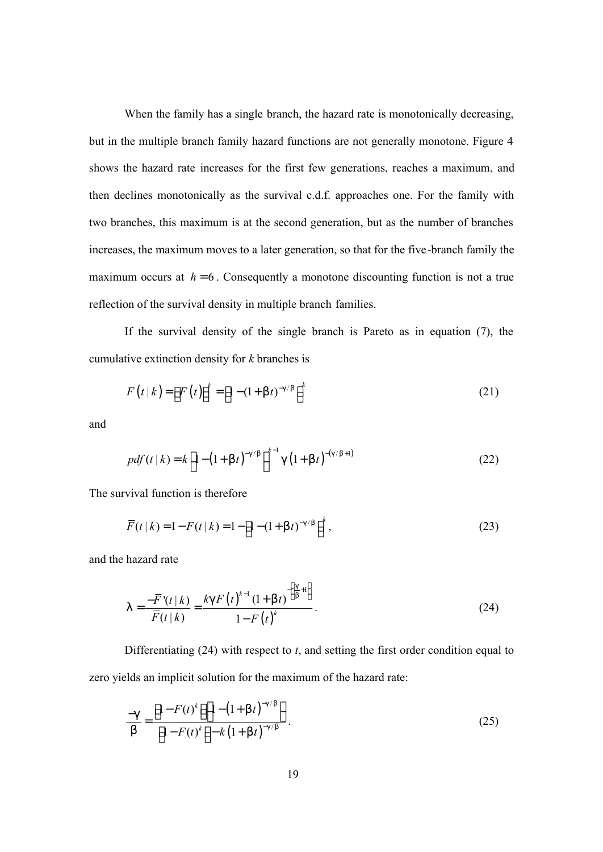When the family has a single branch, the hazard rate is monotonically decreasing, but in the multiple branch family hazard functions are not generally monotone. Figure 4 shows the hazard rate increases for the first few generations, reaches a maximum, and then declines monotonically as the survival c.d.f. approaches one. For the family with two branches, this maximum is at the second generation, but as the number of branches increases, the maximum moves to a later generation, so that for the five-branch family the maximum occurs at  $h = 6$ . Consequently a monotone discounting function is not a true reflection of the survival density in multiple branch families.

If the survival density of the single branch is Pareto as in equation (7), the cumulative extinction density for *k* branches is

$$
F(t|k) = [F(t)]^k = [1 - (1 + \mathsf{b}t)^{-g/\mathsf{b}}]^{k}
$$
 (21)

and

$$
pdf(t|k) = k \left[ 1 - \left( 1 + \mathsf{b}t \right)^{-g/\mathsf{b}} \right]^{k-1} \mathsf{g} \left( 1 + \mathsf{b}t \right)^{-(g/\mathsf{b}+1)} \tag{22}
$$

The survival function is therefore

$$
\overline{F}(t|k) = 1 - F(t|k) = 1 - \left[1 - (1 + b t)^{-9/b}\right]^k,
$$
\n(23)

and the hazard rate

$$
1 = \frac{-\overline{F}'(t|k)}{\overline{F}(t|k)} = \frac{kg F(t)^{k-1} (1+b t)^{-\left(\frac{g}{b}+1\right)}}{1-F(t)^k}.
$$
\n(24)

Differentiating (24) with respect to *t*, and setting the first order condition equal to zero yields an implicit solution for the maximum of the hazard rate:

$$
\frac{-g}{b} = \frac{\left[1 - F(t)^k\right] \left[1 - \left(1 + bt\right)^{-g/b}\right]}{\left[1 - F(t)^k\right] - k\left(1 + bt\right)^{-g/b}}.
$$
\n(25)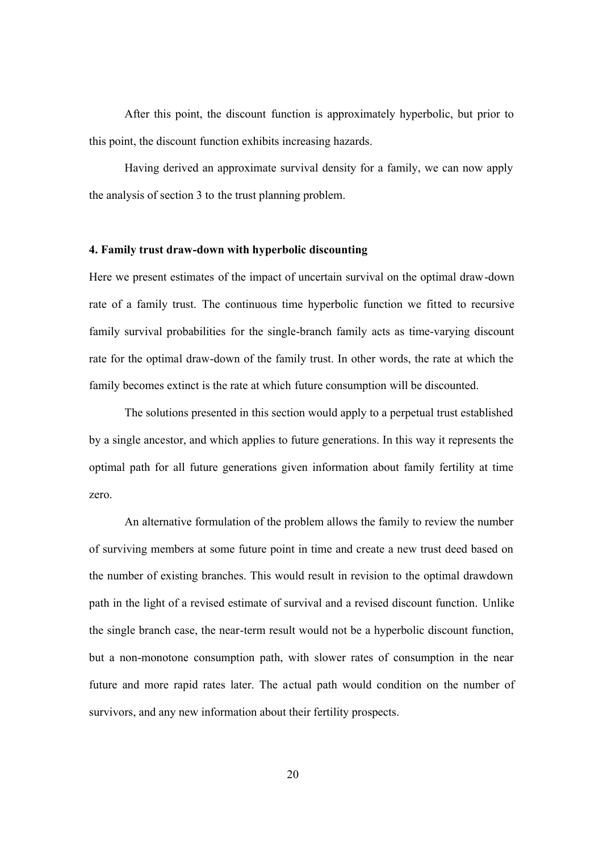After this point, the discount function is approximately hyperbolic, but prior to this point, the discount function exhibits increasing hazards.

Having derived an approximate survival density for a family, we can now apply the analysis of section 3 to the trust planning problem.

#### **4. Family trust draw-down with hyperbolic discounting**

Here we present estimates of the impact of uncertain survival on the optimal draw-down rate of a family trust. The continuous time hyperbolic function we fitted to recursive family survival probabilities for the single-branch family acts as time-varying discount rate for the optimal draw-down of the family trust. In other words, the rate at which the family becomes extinct is the rate at which future consumption will be discounted.

The solutions presented in this section would apply to a perpetual trust established by a single ancestor, and which applies to future generations. In this way it represents the optimal path for all future generations given information about family fertility at time zero.

An alternative formulation of the problem allows the family to review the number of surviving members at some future point in time and create a new trust deed based on the number of existing branches. This would result in revision to the optimal drawdown path in the light of a revised estimate of survival and a revised discount function. Unlike the single branch case, the near-term result would not be a hyperbolic discount function, but a non-monotone consumption path, with slower rates of consumption in the near future and more rapid rates later. The actual path would condition on the number of survivors, and any new information about their fertility prospects.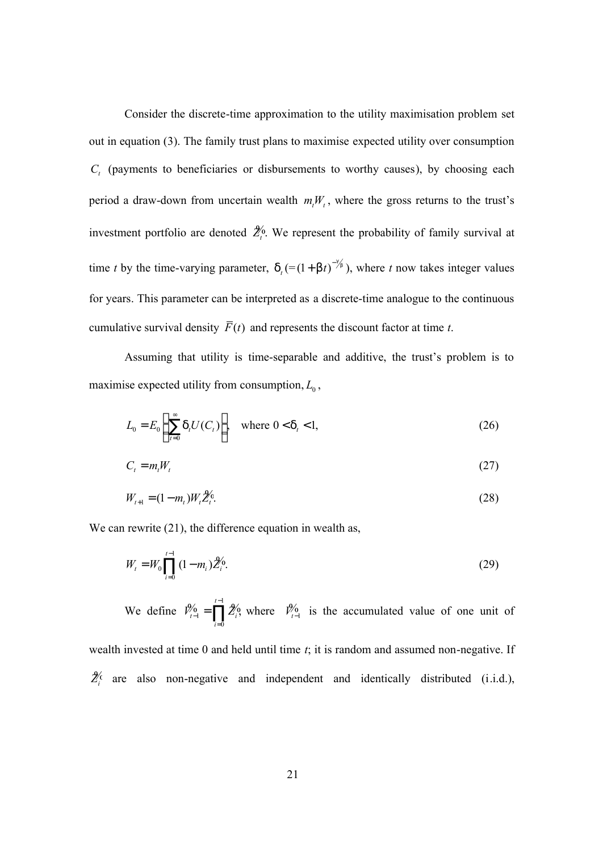Consider the discrete-time approximation to the utility maximisation problem set out in equation (3). The family trust plans to maximise expected utility over consumption  $C<sub>t</sub>$  (payments to beneficiaries or disbursements to worthy causes), by choosing each period a draw-down from uncertain wealth  $m_tW_t$ , where the gross returns to the trust's investment portfolio are denoted  $\mathcal{Z}_i^6$ . We represent the probability of family survival at time *t* by the time-varying parameter,  $d_t = (1 + b t)^{-\frac{q}{2}}$ , where *t* now takes integer values for years. This parameter can be interpreted as a discrete-time analogue to the continuous cumulative survival density  $\overline{F}(t)$  and represents the discount factor at time *t*.

Assuming that utility is time-separable and additive, the trust's problem is to maximise expected utility from consumption,  $L_0$ ,

$$
L_0 = E_0 \left( \sum_{t=0}^{\infty} \mathsf{d}_t U(C_t) \right), \quad \text{where } 0 < \mathsf{d}_t < 1,\tag{26}
$$

$$
C_t = m_t W_t \tag{27}
$$

$$
W_{t+1} = (1 - m_t)W_t \tilde{Z}_t^6.
$$
\n(28)

We can rewrite  $(21)$ , the difference equation in wealth as,

$$
W_t = W_0 \prod_{i=0}^{t-1} (1 - m_i) \hat{Z}_i^6.
$$
 (29)

We define 1  $1 - \prod_i Z_i$ , where  $r_{t-1}$ 0 , where *t*  $t-1$   $\prod_i L_i$ , where  $r_i$ *i*  $V_{t-1}^{\prime\prime} = \prod Z_i^{\prime\prime}$ , where  $V_i^{\prime\prime}$ −  $-1$   $-1$   $\sum_i$ , where  $r_{t-1}$  $\mathcal{H}_{t-1} = \prod_{i=0}^{n} \mathcal{L}_{t}^{0}$ , where  $V_{t-1}^{0}$  is the accumulated value of one unit of

wealth invested at time 0 and held until time *t*; it is random and assumed non-negative. If  $\mathcal{Z}^{\zeta}_{i}$  are also non-negative and independent and identically distributed (i.i.d.),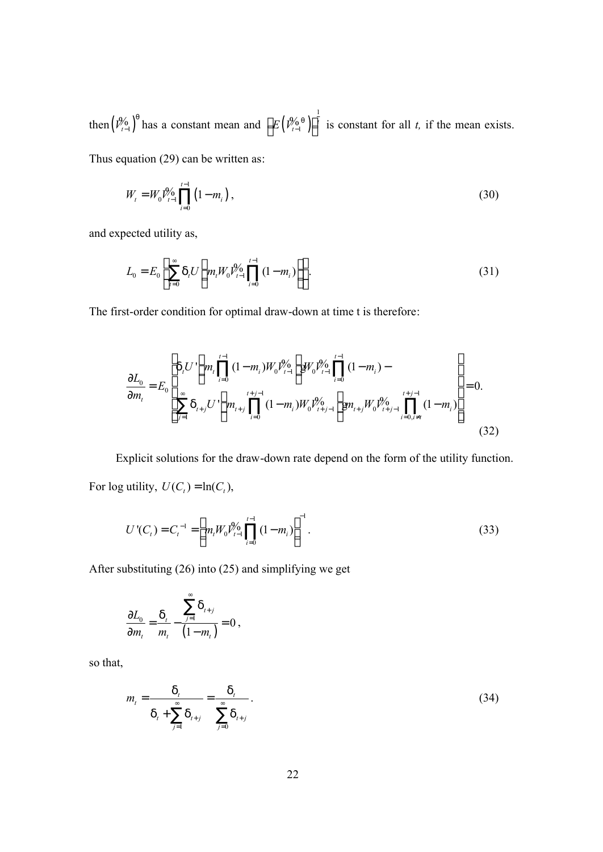then  $\left(\mathcal{V}_{t-1}^{\mathcal{Y}_{0}}\right)^{q}$  $\left(\begin{smallmatrix} \mathcal{Y} & \mathcal{Y} \\ \mathcal{Y} & \mathcal{Y} \end{smallmatrix}\right)^{q}$  has a constant mean and  $\left[E\left(\begin{smallmatrix} \mathcal{Y} & \mathcal{Y} \\ \mathcal{Y} & \mathcal{Y} \end{smallmatrix}\right)\right]^{q}$  $E\left(\mathcal{V}_{t-1}^{\mathcal{Y}_{\mathbf{0}}\mathbf{q}}\right)\Big|^{t}$  $\left[ E\left( \frac{\partial \phi_0}{\partial t_1} \right) \right]$ <sup>*t*</sup> is constant for all *t*, if the mean exists.

Thus equation (29) can be written as:

$$
W_{i} = W_{0} \mathcal{V}_{i-1} \prod_{i=0}^{i-1} (1 - m_{i}), \qquad (30)
$$

and expected utility as,

$$
L_0 = E_0 \left[ \sum_{t=0}^{\infty} \mathsf{d}_t U \left( m_t W_0 V_{t-1}^0 \prod_{i=0}^{t-1} (1 - m_i) \right) \right]. \tag{31}
$$

The first-order condition for optimal draw-down at time t is therefore:

$$
\frac{\partial L_0}{\partial m_t} = E_0 \left[ \sum_{j=1}^{d_t} \mathcal{U} \left( m_t \prod_{i=0}^{t-1} (1 - m_i) W_0 \mathcal{V}_{t-1}^{\phi_0} \right) \mathcal{W}_0 \mathcal{V}_{t-1}^{\phi_0} \prod_{i=0}^{t-1} (1 - m_i) - \sum_{i=0}^{d_t} \sum_{j=1}^{d_t} \mathcal{A}_{t+j} \mathcal{U} \left( m_{t+j} \prod_{i=0}^{t+j-1} (1 - m_i) W_0 \mathcal{V}_{t+j-1}^{\phi_0} \right) \mathcal{W}_0 \mathcal{V}_{t+j-1}^{\phi_0} \prod_{i=0, i \neq t}^{t+j-1} (1 - m_i) \right] = 0.
$$
\n(32)

Explicit solutions for the draw-down rate depend on the form of the utility function. For log utility,  $U(C_t) = \ln(C_t)$ ,

$$
U'(Ct) = Ct-1 = \left[ mt W0 Vt-19 \prod_{i=0}^{t-1} (1 - mi) \right]^{-1}.
$$
 (33)

After substituting (26) into (25) and simplifying we get

$$
\frac{\partial L_0}{\partial m_{t}} = \frac{d_{t}}{m_{t}} - \frac{\sum_{j=1}^{\infty} d_{t+j}}{(1-m_{t})} = 0,
$$

so that,

$$
m_{t} = \frac{d_{t}}{d_{t} + \sum_{j=1}^{\infty} d_{t+j}} = \frac{d_{t}}{\sum_{j=0}^{\infty} d_{t+j}}.
$$
 (34)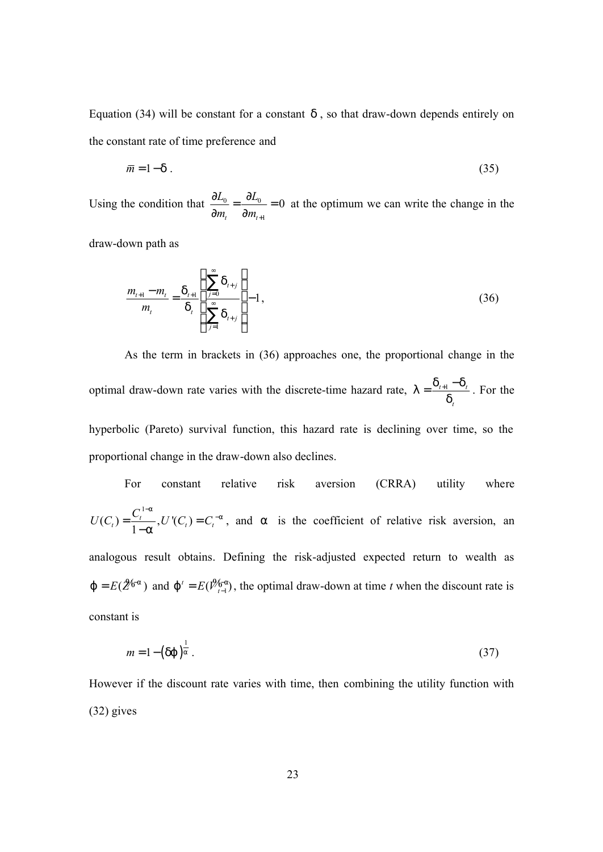Equation (34) will be constant for a constant *d* , so that draw-down depends entirely on the constant rate of time preference and

$$
\overline{m} = 1 - d \tag{35}
$$

Using the condition that  $\frac{dE_0}{dt} = \frac{dE_0}{dt}$ 1 0  $t$  *viii*<sub>t</sub>  $L_0$   $\partial L$  $m_t$   $\partial m_{t+1}$  $\frac{\partial L_0}{\partial \Sigma} = \frac{\partial L_0}{\partial \Sigma} =$  $\partial m_{\tau}$  ∂ at the optimum we can write the change in the

draw-down path as

$$
\frac{m_{t+1} - m_t}{m_t} = \frac{d_{t+1}}{d_t} \left( \frac{\sum_{j=0}^{\infty} d_{t+j}}{\sum_{j=1}^{\infty} d_{t+j}} \right) - 1, \tag{36}
$$

As the term in brackets in (36) approaches one, the proportional change in the optimal draw-down rate varies with the discrete-time hazard rate,  $I = \frac{u_{t+1}}{l}$ *t*  $I = \frac{d_{t+1} - d}{i}$ *d*  $=\frac{d_{t+1}-d_t}{dt}$ . For the hyperbolic (Pareto) survival function, this hazard rate is declining over time, so the proportional change in the draw-down also declines.

For constant relative risk aversion (CRRA) utility where  
\n
$$
U(C_t) = \frac{C_t^{1-a}}{1-a}, U'(C_t) = C_t^{-a},
$$
 and a is the coefficient of relative risk aversion, an

analogous result obtains. Defining the risk-adjusted expected return to wealth as  $j = E(2^{i\theta_{\text{rad}}})$  and  $j' = E(\mathcal{V}_{i-1}^{\theta_{\text{rad}}})$ , the optimal draw-down at time *t* when the discount rate is constant is

$$
m = 1 - (dj)^{\frac{1}{a}}.
$$
 (37)

However if the discount rate varies with time, then combining the utility function with (32) gives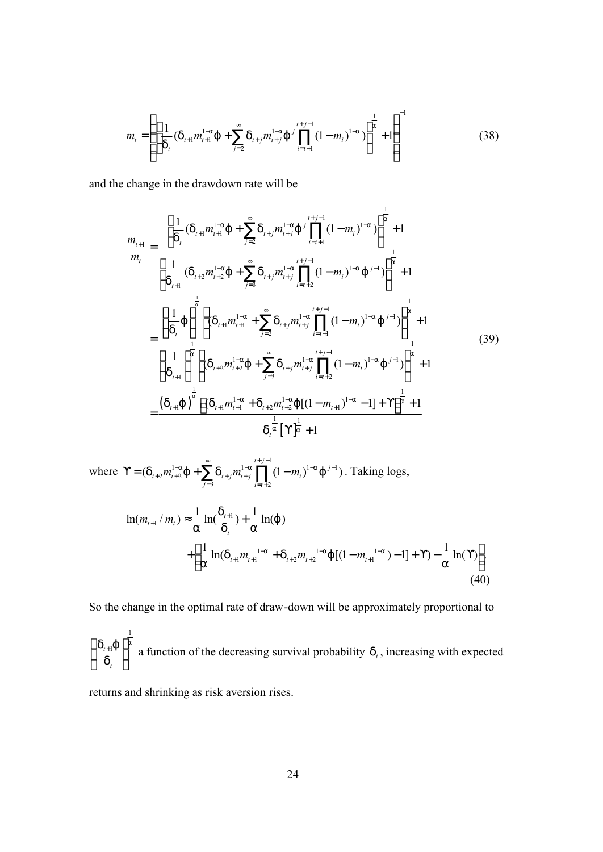$$
m_{t} = \left\{ \left[ \frac{1}{d_{t}} (\mathbf{d}_{t+1} m_{t+1}^{1-a}) + \sum_{j=2}^{\infty} \mathbf{d}_{t+j} m_{t+j}^{1-a}) \right]^{j} \prod_{i=t+1}^{t+j-1} (1-m_{i})^{1-a} \right\}^{\frac{1}{a}} + 1 \right\}^{-1}
$$
(38)

1

and the change in the drawdown rate will be

$$
\frac{m_{t+1}}{m_{t}} = \frac{\left[\frac{1}{d_{t}}(d_{t+1}m_{t+1}^{1-a}) + \sum_{j=2}^{\infty} d_{t+j}m_{t+j}^{1-a}\right]^{j} \prod_{i=t+1}^{t+j-1}(1-m_{i})^{1-a}}{\left[\frac{1}{d_{t+1}}(d_{t+2}m_{t+2}^{1-a}) + \sum_{j=3}^{\infty} d_{t+j}m_{t+j}^{1-a} \prod_{i=t+2}^{t+j-1}(1-m_{i})^{1-a}\right]^{j-j}}\right]^{\frac{1}{a}} + 1
$$
\n
$$
= \frac{\left(\frac{1}{d_{t}}\right)^{\frac{1}{a}} \left[(d_{t+1}m_{t+1}^{1-a} + \sum_{j=2}^{\infty} d_{t+j}m_{t+j}^{1-a} \prod_{i=t+1}^{t+j-1}(1-m_{i})^{1-a}\right]^{j-j}}{\left(\frac{1}{d_{t+1}}\right)^{\frac{1}{a}} \left[(d_{t+2}m_{t+2}^{1-a}\right] + \sum_{j=3}^{\infty} d_{t+j}m_{t+j}^{1-a} \prod_{i=t+2}^{t+j-1}(1-m_{i})^{1-a}\right]^{\frac{1}{a}} + 1}
$$
\n
$$
= \frac{\left(d_{t+1}\right)^{\frac{1}{a}} \left[(d_{t+1}m_{t+1}^{1-a} + d_{t+2}m_{t+2}^{1-a}\right] \left[(1-m_{t+1})^{1-a} - 1\right] + \Upsilon^{\frac{1}{a}} + 1}{d_{t}^{\frac{1}{a}} \left[\Upsilon^{\frac{1}{a}} + 1\right]}
$$
\n(39)

where 
$$
\Upsilon = (d_{t+2}m_{t+2}^{1-a}) + \sum_{j=3}^{\infty} d_{t+j}m_{t+j}^{1-a} \prod_{i=t+2}^{t+j-1} (1-m_i)^{1-a} j^{j-1})
$$
. Taking logs,  
\n
$$
\ln(m_{t+1}/m_t) \approx \frac{1}{a} \ln(\frac{d_{t+1}}{d_t}) + \frac{1}{a} \ln(j)
$$
\n
$$
+ \left[ \frac{1}{a} \ln(d_{t+1}m_{t+1}^{1-a} + d_{t+2}m_{t+2}^{1-a} j [(1-m_{t+1}^{1-a}) - 1] + \Upsilon) - \frac{1}{a} \ln(\Upsilon) \right].
$$
\n(40)

So the change in the optimal rate of draw-down will be approximately proportional to

1  $t+1$ *t*  $d_{r+1}$ *j* **a** *d*  $\begin{pmatrix} d_{t+1} & \cdots \end{pmatrix}$  $\frac{1+\nu}{d}$  $\begin{pmatrix} 0 \\ t \end{pmatrix}$ a function of the decreasing survival probability  $d_t$ , increasing with expected

returns and shrinking as risk aversion rises.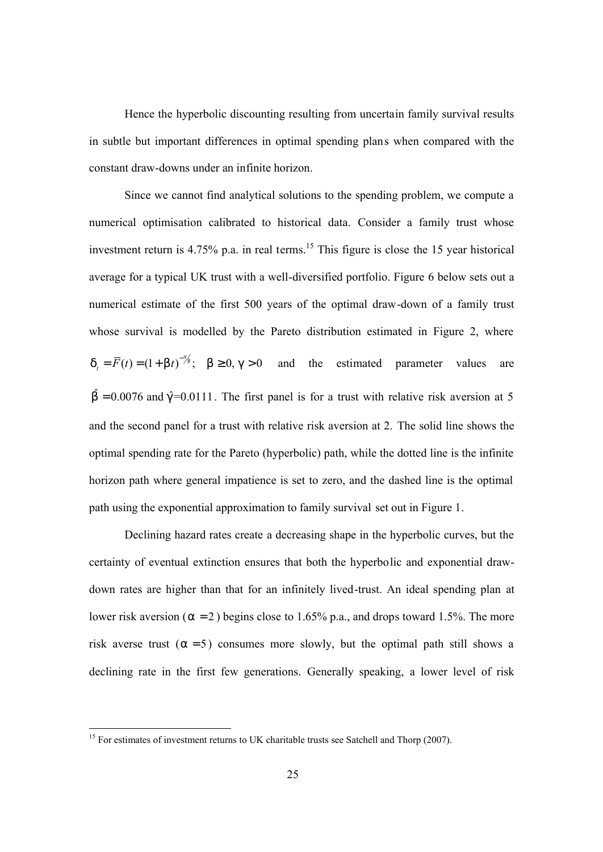Hence the hyperbolic discounting resulting from uncertain family survival results in subtle but important differences in optimal spending plans when compared with the constant draw-downs under an infinite horizon.

Since we cannot find analytical solutions to the spending problem, we compute a numerical optimisation calibrated to historical data. Consider a family trust whose investment return is 4.75% p.a. in real terms.<sup>15</sup> This figure is close the 15 year historical average for a typical UK trust with a well-diversified portfolio. Figure 6 below sets out a numerical estimate of the first 500 years of the optimal draw-down of a family trust whose survival is modelled by the Pareto distribution estimated in Figure 2, where  $d_t = \overline{F}(t) = (1 + b t)^{-\frac{9}{6}};$  b ≥ 0, g > 0 and the estimated parameter values are  $\hat{b} = 0.0076$  and  $\hat{g} = 0.0111$ . The first panel is for a trust with relative risk aversion at 5 and the second panel for a trust with relative risk aversion at 2. The solid line shows the optimal spending rate for the Pareto (hyperbolic) path, while the dotted line is the infinite horizon path where general impatience is set to zero, and the dashed line is the optimal path using the exponential approximation to family survival set out in Figure 1.

Declining hazard rates create a decreasing shape in the hyperbolic curves, but the certainty of eventual extinction ensures that both the hyperbolic and exponential drawdown rates are higher than that for an infinitely lived-trust. An ideal spending plan at lower risk aversion (*a* = 2 ) begins close to 1.65% p.a., and drops toward 1.5%. The more risk averse trust  $(a = 5)$  consumes more slowly, but the optimal path still shows a declining rate in the first few generations. Generally speaking, a lower level of risk

<sup>&</sup>lt;sup>15</sup> For estimates of investment returns to UK charitable trusts see Satchell and Thorp (2007).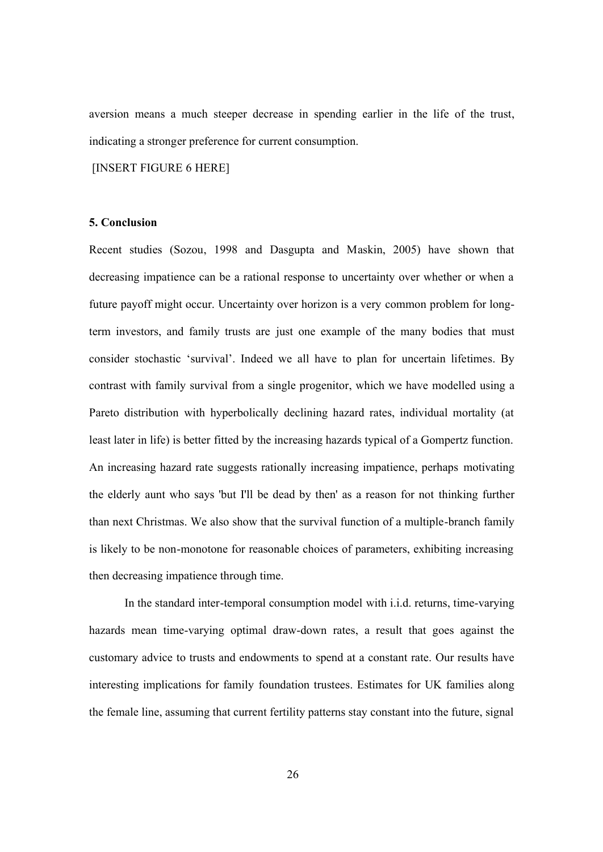aversion means a much steeper decrease in spending earlier in the life of the trust, indicating a stronger preference for current consumption.

[INSERT FIGURE 6 HERE]

## **5. Conclusion**

Recent studies (Sozou, 1998 and Dasgupta and Maskin, 2005) have shown that decreasing impatience can be a rational response to uncertainty over whether or when a future payoff might occur. Uncertainty over horizon is a very common problem for longterm investors, and family trusts are just one example of the many bodies that must consider stochastic 'survival'. Indeed we all have to plan for uncertain lifetimes. By contrast with family survival from a single progenitor, which we have modelled using a Pareto distribution with hyperbolically declining hazard rates, individual mortality (at least later in life) is better fitted by the increasing hazards typical of a Gompertz function. An increasing hazard rate suggests rationally increasing impatience, perhaps motivating the elderly aunt who says 'but I'll be dead by then' as a reason for not thinking further than next Christmas. We also show that the survival function of a multiple-branch family is likely to be non-monotone for reasonable choices of parameters, exhibiting increasing then decreasing impatience through time.

In the standard inter-temporal consumption model with i.i.d. returns, time-varying hazards mean time-varying optimal draw-down rates, a result that goes against the customary advice to trusts and endowments to spend at a constant rate. Our results have interesting implications for family foundation trustees. Estimates for UK families along the female line, assuming that current fertility patterns stay constant into the future, signal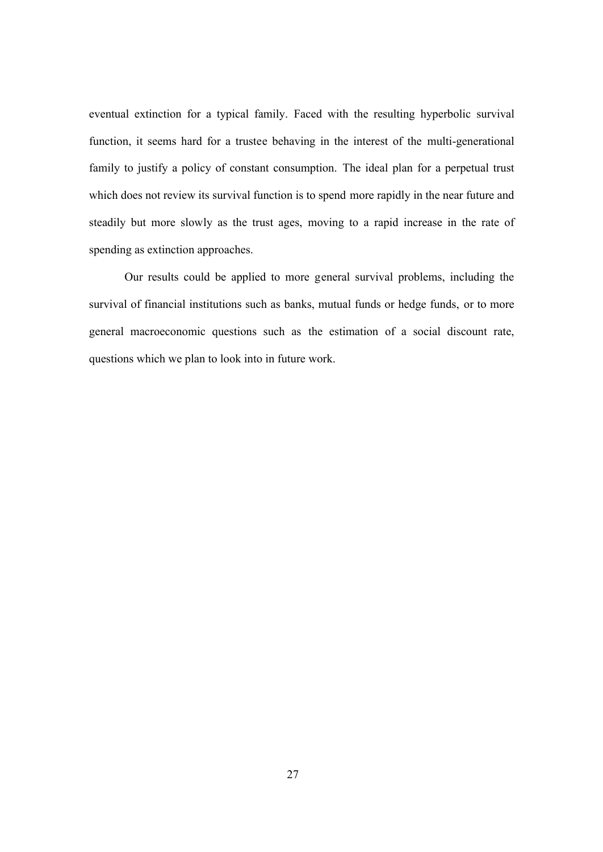eventual extinction for a typical family. Faced with the resulting hyperbolic survival function, it seems hard for a trustee behaving in the interest of the multi-generational family to justify a policy of constant consumption. The ideal plan for a perpetual trust which does not review its survival function is to spend more rapidly in the near future and steadily but more slowly as the trust ages, moving to a rapid increase in the rate of spending as extinction approaches.

Our results could be applied to more general survival problems, including the survival of financial institutions such as banks, mutual funds or hedge funds, or to more general macroeconomic questions such as the estimation of a social discount rate, questions which we plan to look into in future work.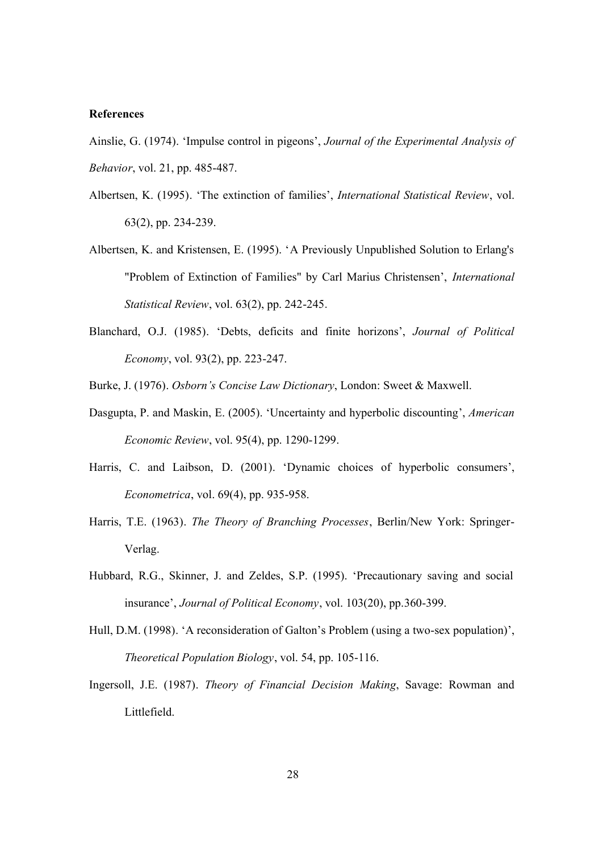### **References**

Ainslie, G. (1974). 'Impulse control in pigeons', *Journal of the Experimental Analysis of Behavior*, vol. 21, pp. 485-487.

- Albertsen, K. (1995). 'The extinction of families', *International Statistical Review*, vol. 63(2), pp. 234-239.
- Albertsen, K. and Kristensen, E. (1995). 'A Previously Unpublished Solution to Erlang's "Problem of Extinction of Families" by Carl Marius Christensen', *International Statistical Review*, vol. 63(2), pp. 242-245.
- Blanchard, O.J. (1985). 'Debts, deficits and finite horizons', *Journal of Political Economy*, vol. 93(2), pp. 223-247.
- Burke, J. (1976). *Osborn's Concise Law Dictionary*, London: Sweet & Maxwell.
- Dasgupta, P. and Maskin, E. (2005). 'Uncertainty and hyperbolic discounting', *American Economic Review*, vol. 95(4), pp. 1290-1299.
- Harris, C. and Laibson, D. (2001). 'Dynamic choices of hyperbolic consumers', *Econometrica*, vol. 69(4), pp. 935-958.
- Harris, T.E. (1963). *The Theory of Branching Processes*, Berlin/New York: Springer-Verlag.
- Hubbard, R.G., Skinner, J. and Zeldes, S.P. (1995). 'Precautionary saving and social insurance', *Journal of Political Economy*, vol. 103(20), pp.360-399.
- Hull, D.M. (1998). 'A reconsideration of Galton's Problem (using a two-sex population)', *Theoretical Population Biology*, vol. 54, pp. 105-116.
- Ingersoll, J.E. (1987). *Theory of Financial Decision Making*, Savage: Rowman and Littlefield.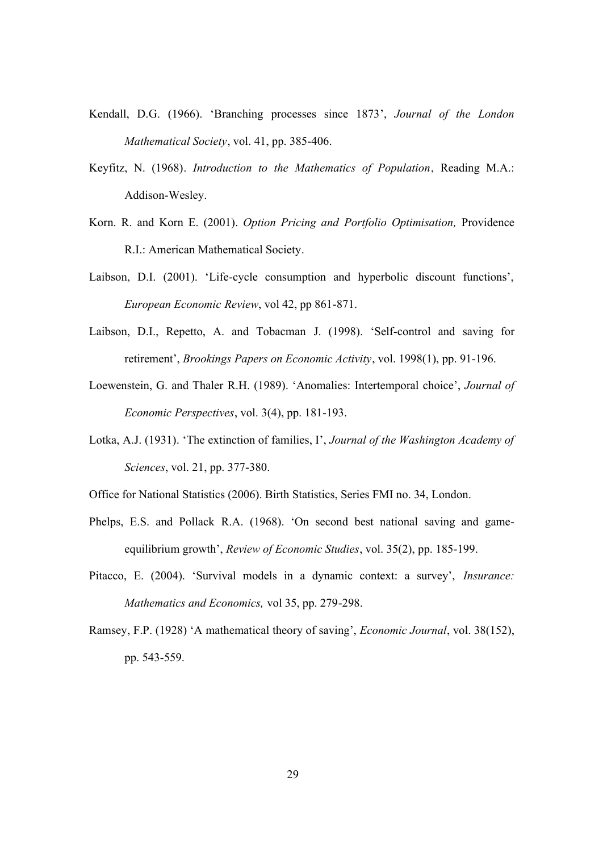- Kendall, D.G. (1966). 'Branching processes since 1873', *Journal of the London Mathematical Society*, vol. 41, pp. 385-406.
- Keyfitz, N. (1968). *Introduction to the Mathematics of Population*, Reading M.A.: Addison-Wesley.
- Korn. R. and Korn E. (2001). *Option Pricing and Portfolio Optimisation,* Providence R.I.: American Mathematical Society.
- Laibson, D.I. (2001). 'Life-cycle consumption and hyperbolic discount functions', *European Economic Review*, vol 42, pp 861-871.
- Laibson, D.I., Repetto, A. and Tobacman J. (1998). 'Self-control and saving for retirement', *Brookings Papers on Economic Activity*, vol. 1998(1), pp. 91-196.
- Loewenstein, G. and Thaler R.H. (1989). 'Anomalies: Intertemporal choice', *Journal of Economic Perspectives*, vol. 3(4), pp. 181-193.
- Lotka, A.J. (1931). 'The extinction of families, I', *Journal of the Washington Academy of Sciences*, vol. 21, pp. 377-380.
- Office for National Statistics (2006). Birth Statistics, Series FMI no. 34, London.
- Phelps, E.S. and Pollack R.A. (1968). 'On second best national saving and gameequilibrium growth', *Review of Economic Studies*, vol. 35(2), pp. 185-199.
- Pitacco, E. (2004). 'Survival models in a dynamic context: a survey', *Insurance: Mathematics and Economics,* vol 35, pp. 279-298.
- Ramsey, F.P. (1928) 'A mathematical theory of saving', *Economic Journal*, vol. 38(152), pp. 543-559.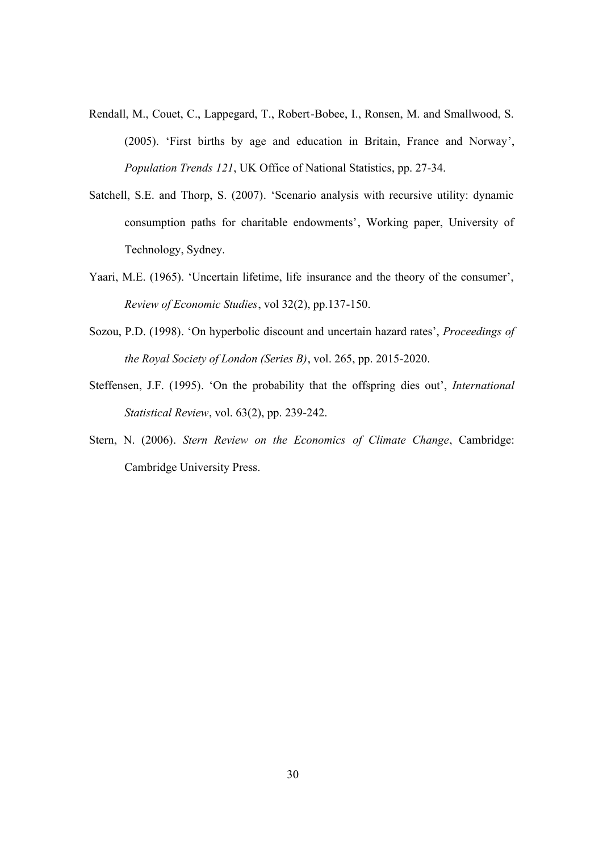- Rendall, M., Couet, C., Lappegard, T., Robert-Bobee, I., Ronsen, M. and Smallwood, S. (2005). 'First births by age and education in Britain, France and Norway', *Population Trends 121*, UK Office of National Statistics, pp. 27-34.
- Satchell, S.E. and Thorp, S. (2007). 'Scenario analysis with recursive utility: dynamic consumption paths for charitable endowments', Working paper, University of Technology, Sydney.
- Yaari, M.E. (1965). 'Uncertain lifetime, life insurance and the theory of the consumer', *Review of Economic Studies*, vol 32(2), pp.137-150.
- Sozou, P.D. (1998). 'On hyperbolic discount and uncertain hazard rates', *Proceedings of the Royal Society of London (Series B)*, vol. 265, pp. 2015-2020.
- Steffensen, J.F. (1995). 'On the probability that the offspring dies out', *International Statistical Review*, vol. 63(2), pp. 239-242.
- Stern, N. (2006). *Stern Review on the Economics of Climate Change*, Cambridge: Cambridge University Press.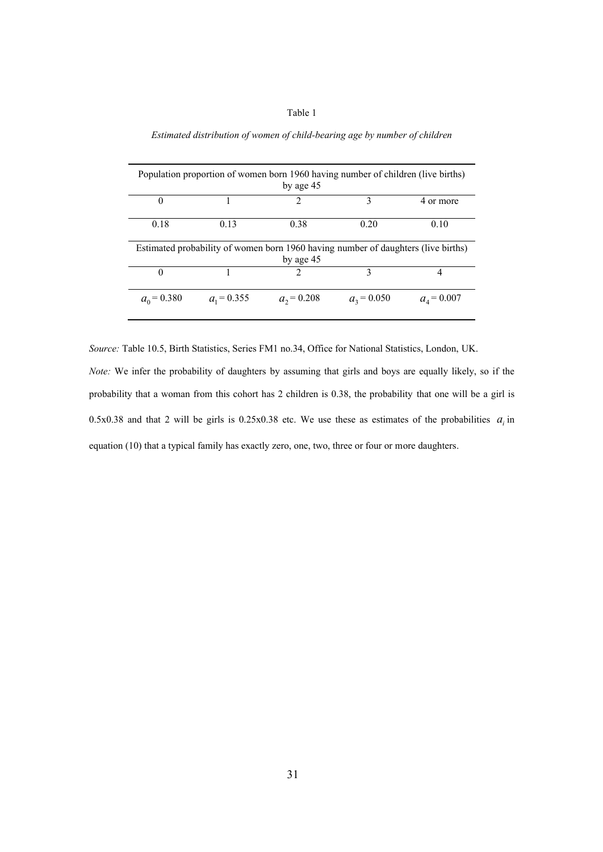Table 1

| Population proportion of women born 1960 having number of children (live births)<br>by age 45  |               |                             |               |               |  |  |
|------------------------------------------------------------------------------------------------|---------------|-----------------------------|---------------|---------------|--|--|
| $\theta$                                                                                       |               | 2                           | 3             | 4 or more     |  |  |
| 0.18                                                                                           | 0.13          | 0.38                        | 0.20          | 0.10          |  |  |
|                                                                                                |               |                             |               |               |  |  |
| Estimated probability of women born 1960 having number of daughters (live births)<br>by age 45 |               |                             |               |               |  |  |
| $\theta$                                                                                       |               | $\mathcal{D}_{\mathcal{A}}$ | 3             | 4             |  |  |
| $a_0 = 0.380$                                                                                  | $a_1 = 0.355$ | $a_2$ = 0.208               | $a_3$ = 0.050 | $a_4 = 0.007$ |  |  |

*Estimated distribution of women of child-bearing age by number of children*

*Source:* Table 10.5, Birth Statistics, Series FM1 no.34, Office for National Statistics, London, UK. *Note:* We infer the probability of daughters by assuming that girls and boys are equally likely, so if the probability that a woman from this cohort has 2 children is 0.38, the probability that one will be a girl is 0.5x0.38 and that 2 will be girls is 0.25x0.38 etc. We use these as estimates of the probabilities  $a_i$  in equation (10) that a typical family has exactly zero, one, two, three or four or more daughters.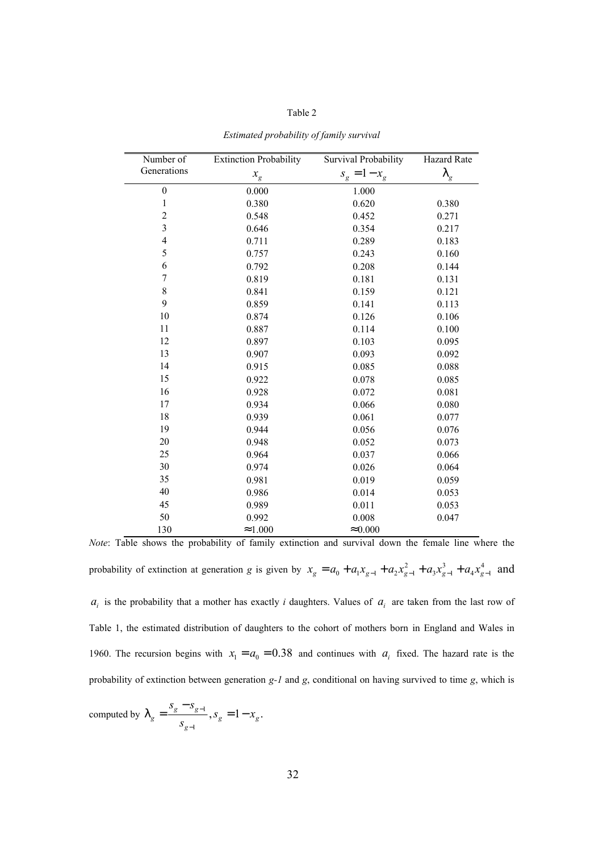| abie |  |
|------|--|
|------|--|

| Number of        | <b>Extinction Probability</b> | Survival Probability | <b>Hazard Rate</b> |
|------------------|-------------------------------|----------------------|--------------------|
| Generations      | $x_{\rm g}$                   | $s_g = 1 - x_g$      | I<br>g             |
| $\boldsymbol{0}$ | 0.000                         | 1.000                |                    |
| $\,1$            | 0.380                         | 0.620                | 0.380              |
| $\overline{c}$   | 0.548                         | 0.452                | 0.271              |
| $\overline{3}$   | 0.646                         | 0.354                | 0.217              |
| $\overline{4}$   | 0.711                         | 0.289                | 0.183              |
| 5                | 0.757                         | 0.243                | 0.160              |
| 6                | 0.792                         | 0.208                | 0.144              |
| $\overline{7}$   | 0.819                         | 0.181                | 0.131              |
| 8                | 0.841                         | 0.159                | 0.121              |
| 9                | 0.859                         | 0.141                | 0.113              |
| 10               | 0.874                         | 0.126                | 0.106              |
| 11               | 0.887                         | 0.114                | 0.100              |
| 12               | 0.897                         | 0.103                | 0.095              |
| 13               | 0.907                         | 0.093                | 0.092              |
| 14               | 0.915                         | 0.085                | 0.088              |
| 15               | 0.922                         | 0.078                | 0.085              |
| 16               | 0.928                         | 0.072                | 0.081              |
| 17               | 0.934                         | 0.066                | 0.080              |
| 18               | 0.939                         | 0.061                | 0.077              |
| 19               | 0.944                         | 0.056                | 0.076              |
| 20               | 0.948                         | 0.052                | 0.073              |
| 25               | 0.964                         | 0.037                | 0.066              |
| 30               | 0.974                         | 0.026                | 0.064              |
| 35               | 0.981                         | 0.019                | 0.059              |
| 40               | 0.986                         | 0.014                | 0.053              |
| 45               | 0.989                         | 0.011                | 0.053              |
| 50               | 0.992                         | 0.008                | 0.047              |
| 130              | $\approx 1.000$               | $\approx 0.000$      |                    |

*Estimated probability of family survival*

*Note*: Table shows the probability of family extinction and survival down the female line where the probability of extinction at generation g is given by  $x_g = a_0 + a_1 x_{g-1} + a_2 x_{g-1}^2 + a_3 x_{g-1}^3 + a_4 x_{g-1}^4$  and  $a_i$  is the probability that a mother has exactly *i* daughters. Values of  $a_i$  are taken from the last row of Table 1, the estimated distribution of daughters to the cohort of mothers born in England and Wales in 1960. The recursion begins with  $x_1 = a_0 = 0.38$  and continues with  $a_i$  fixed. The hazard rate is the probability of extinction between generation *g-1* and *g*, conditional on having survived to time *g*, which is

computed by  $\int_{a} = \frac{3g}{g} \frac{3g-1}{g}$ 1  $\frac{g}{g}$   $\frac{g}{g-1}$ ,  $S_g$  = 1 -  $x_g$ .  $g = \qquad \qquad , \qquad g = 1 \qquad \qquad g$ *g*  $s_{\sigma} - s$  $s_{\alpha} = 1 - x$ *s*  $\int_{a} = \frac{s_g - s_{g-1}}{a}$ − −  $=\frac{g}{s}$   $-g-1$ ,  $S_{\sigma}=1-$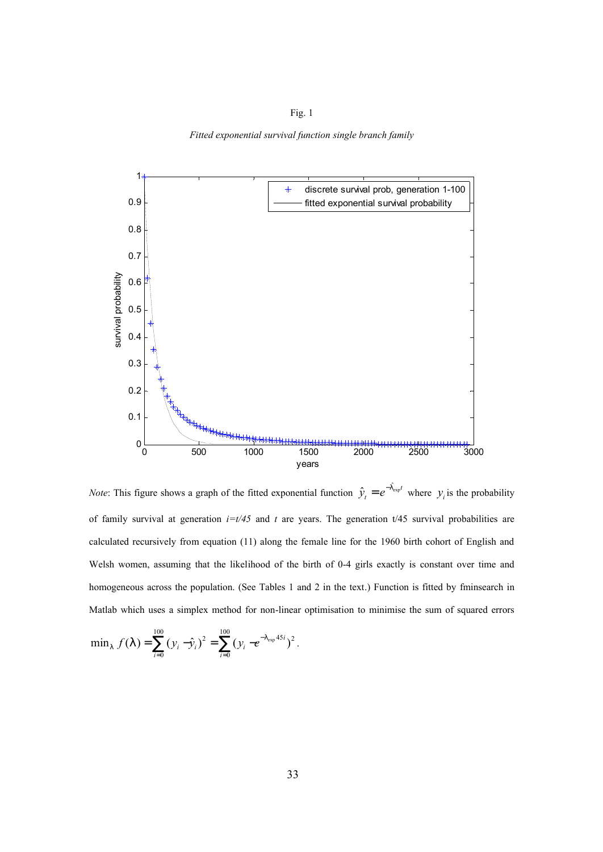Fig. 1

*Fitted exponential survival function single branch family*



*Note*: This figure shows a graph of the fitted exponential function  $\hat{y}_t = e^{-\int_{\exp}^{t} f(x) \cdot d\theta}$  $\hat{y}_t = e^{-1 \exp t}$  where  $y_i$  is the probability of family survival at generation  $i=t/45$  and t are years. The generation  $t/45$  survival probabilities are calculated recursively from equation (11) along the female line for the 1960 birth cohort of English and Welsh women, assuming that the likelihood of the birth of 0-4 girls exactly is constant over time and homogeneous across the population. (See Tables 1 and 2 in the text.) Function is fitted by fminsearch in Matlab which uses a simplex method for non-linear optimisation to minimise the sum of squared errors

$$
\min_{1} f(1) = \sum_{i=0}^{100} (y_i - \hat{y}_i)^2 = \sum_{i=0}^{100} (y_i - e^{-1} \exp^{45i})^2.
$$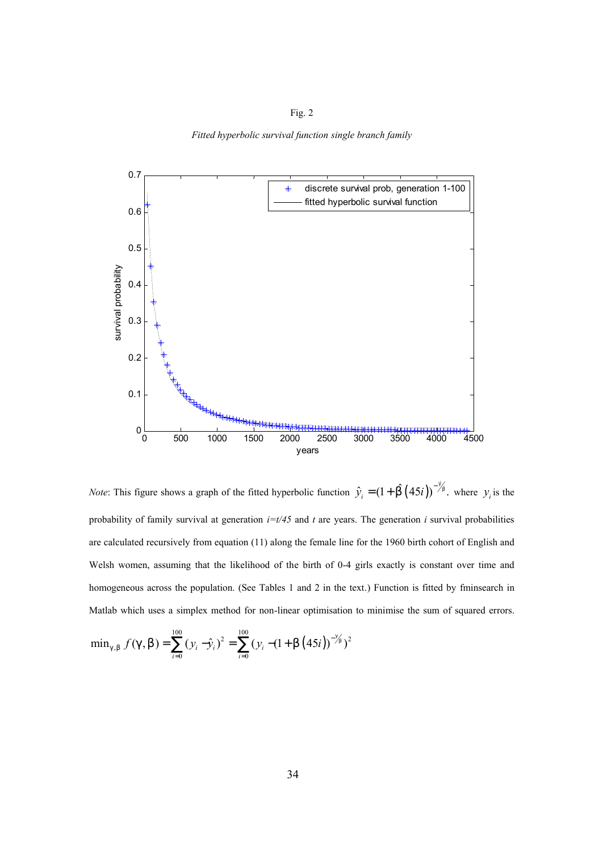Fig. 2

*Fitted hyperbolic survival function single branch family*



*Note*: This figure shows a graph of the fitted hyperbolic function  $\hat{y}_i = (1 + \hat{b}(45i))^{-\frac{3}{2}}$ , where  $y_i$  is the probability of family survival at generation  $i=t/45$  and t are years. The generation i survival probabilities are calculated recursively from equation (11) along the female line for the 1960 birth cohort of English and Welsh women, assuming that the likelihood of the birth of 0-4 girls exactly is constant over time and homogeneous across the population. (See Tables 1 and 2 in the text.) Function is fitted by fminsearch in Matlab which uses a simplex method for non-linear optimisation to minimise the sum of squared errors.

$$
\min_{g,b} f(g,b) = \sum_{i=0}^{100} (y_i - \hat{y}_i)^2 = \sum_{i=0}^{100} (y_i - (1 + b (45i))^{-\frac{9}{5}})^2
$$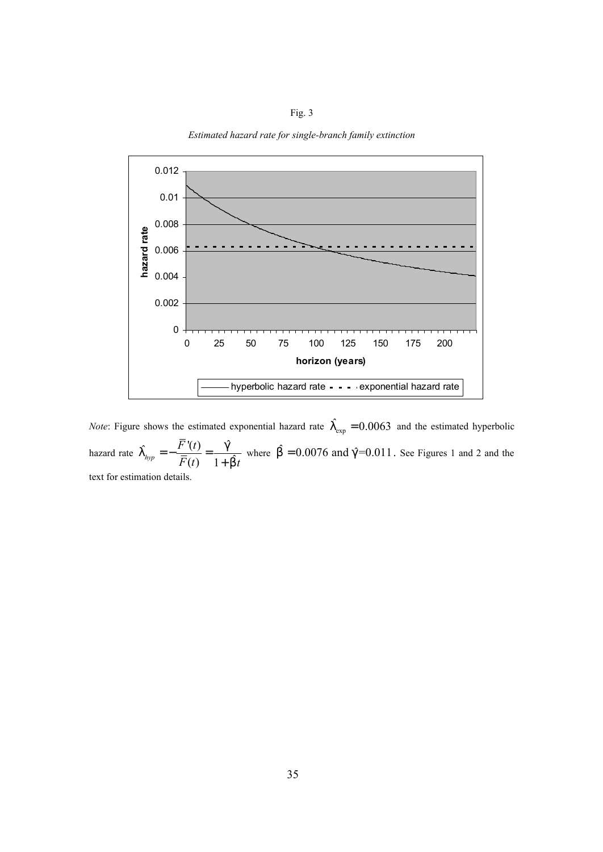Fig. 3 *Estimated hazard rate for single-branch family extinction*



*Note*: Figure shows the estimated exponential hazard rate  $\int_{\exp}^{\infty} = 0.0063$  and the estimated hyperbolic hazard rate  $\int_{hm} = -\frac{\overline{F}'(t)}{\overline{F}(t)} = -\frac{\hat{g}}{t}$  $\bar{F}(t)$ <sup>-</sup> 1+b<sup>o</sup> *F t*  $F(t)$  1+bt  $\int_{hr}$  =  $-\frac{F'(t)}{\overline{g}(t)} = -\frac{g(t)}{g(t)}$ *b*  $=-\frac{1}{\sqrt{2}}\frac{1}{\sqrt{2}}$  = + where  $\hat{b} = 0.0076$  and  $\hat{g} = 0.011$ . See Figures 1 and 2 and the text for estimation details.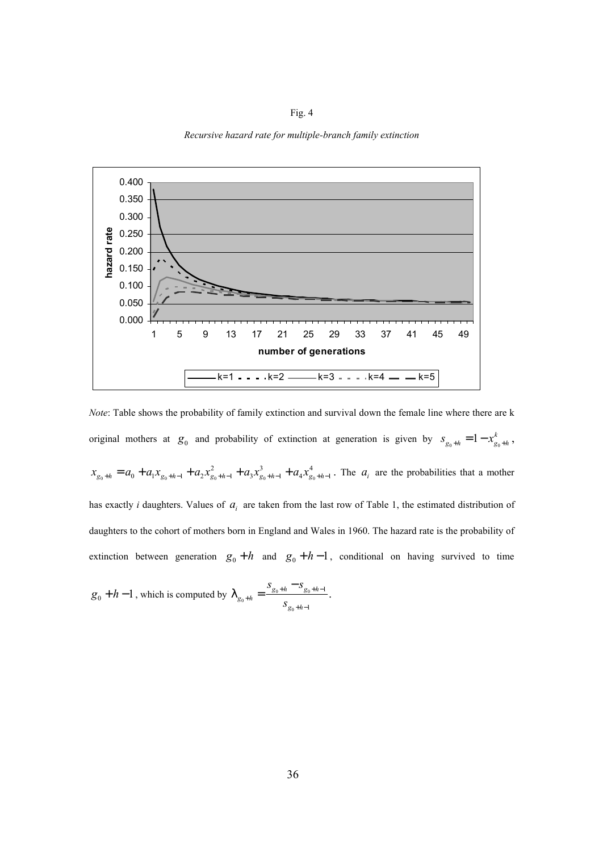Fig. 4



*Recursive hazard rate for multiple-branch family extinction*

*Note*: Table shows the probability of family extinction and survival down the female line where there are k original mothers at  $g_0$  and probability of extinction at generation is given by  $s_{g_0+h} = 1 - x_{g_0}^k$  $s_{g_0+h} = 1 - x_{g_0+h}^k$ ,  $0^{+n}$  0 1  $g_0^{+n-1}$  2  $g_0^{+n-1}$  3  $g_0^{+n-1}$  4  $g_0$ 2  $a^3$   $a^4$  $x_{g_0+h} = a_0 + a_1 x_{g_0+h-1} + a_2 x_{g_0+h-1}^2 + a_3 x_{g_0+h-1}^3 + a_4 x_{g_0+h-1}^4$ . The  $a_i$  are the probabilities that a mother has exactly *i* daughters. Values of  $a_i$  are taken from the last row of Table 1, the estimated distribution of daughters to the cohort of mothers born in England and Wales in 1960. The hazard rate is the probability of extinction between generation  $g_0 + h$  and  $g_0 + h - 1$ , conditional on having survived to time

$$
g_0 + h - 1
$$
, which is computed by  $\int_{g_0 + h} = \frac{S_{g_0 + h} - S_{g_0 + h - 1}}{S_{g_0 + h - 1}}$ .